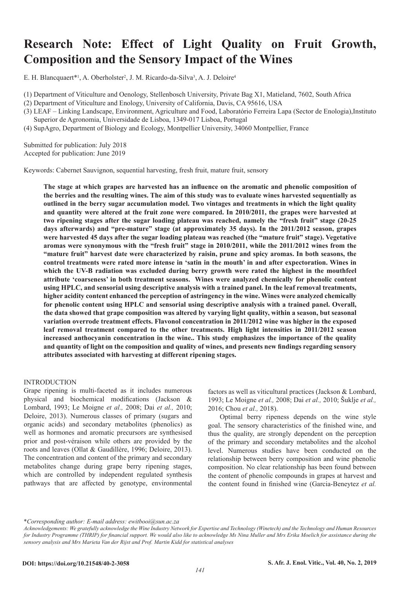# **Research Note: Effect of Light Quality on Fruit Growth, Composition and the Sensory Impact of the Wines**

E. H. Blancquaert\*<sup>1</sup>, A. Oberholster<sup>2</sup>, J. M. Ricardo-da-Silva<sup>3</sup>, A. J. Deloire<sup>4</sup>

(1) Department of Viticulture and Oenology, Stellenbosch University, Private Bag X1, Matieland, 7602, South Africa

(2) Department of Viticulture and Enology, University of California, Davis, CA 95616, USA

- (3) LEAF Linking Landscape, Environment, Agriculture and Food, Laboratório Ferreira Lapa (Sector de Enologia),Instituto Superior de Agronomia, Universidade de Lisboa, 1349-017 Lisboa, Portugal
- (4) SupAgro, Department of Biology and Ecology, Montpellier University, 34060 Montpellier, France

Submitted for publication: July 2018 Accepted for publication: June 2019

Keywords: Cabernet Sauvignon, sequential harvesting, fresh fruit, mature fruit, sensory

**The stage at which grapes are harvested has an influence on the aromatic and phenolic composition of the berries and the resulting wines. The aim of this study was to evaluate wines harvested sequentially as outlined in the berry sugar accumulation model. Two vintages and treatments in which the light quality and quantity were altered at the fruit zone were compared. In 2010/2011, the grapes were harvested at two ripening stages after the sugar loading plateau was reached, namely the "fresh fruit" stage (20-25 days afterwards) and "pre-mature" stage (at approximately 35 days). In the 2011/2012 season, grapes were harvested 45 days after the sugar loading plateau was reached (the "mature fruit" stage). Vegetative aromas were synonymous with the "fresh fruit" stage in 2010/2011, while the 2011/2012 wines from the "mature fruit" harvest date were characterized by raisin, prune and spicy aromas. In both seasons, the control treatments were rated more intense in 'satin in the mouth' in and after expectoration. Wines in which the UV-B radiation was excluded during berry growth were rated the highest in the mouthfeel attribute 'coarseness' in both treatment seasons. Wines were analyzed chemically for phenolic content using HPLC, and sensorial using descriptive analysis with a trained panel. In the leaf removal treatments, higher acidity content enhanced the perception of astringency in the wine. Wines were analyzed chemically for phenolic content using HPLC and sensorial using descriptive analysis with a trained panel. Overall, the data showed that grape composition was altered by varying light quality, within a season, but seasonal variation overrode treatment effects. Flavonol concentration in 2011/2012 wine was higher in the exposed leaf removal treatment compared to the other treatments. High light intensities in 2011/2012 season increased anthocyanin concentration in the wine.. This study emphasizes the importance of the quality and quantity of light on the composition and quality of wines, and presents new findings regarding sensory attributes associated with harvesting at different ripening stages.** 

## INTRODUCTION

Grape ripening is multi-faceted as it includes numerous physical and biochemical modifications (Jackson & Lombard, 1993; Le Moigne *et al.,* 2008; Dai *et al.,* 2010; Deloire, 2013). Numerous classes of primary (sugars and organic acids) and secondary metabolites (phenolics) as well as hormones and aromatic precursors are synthesised prior and post-véraison while others are provided by the roots and leaves (Ollat & Gaudillère, 1996; Deloire, 2013). The concentration and content of the primary and secondary metabolites change during grape berry ripening stages, which are controlled by independent regulated synthesis pathways that are affected by genotype, environmental

factors as well as viticultural practices (Jackson & Lombard, 1993; Le Moigne *et al.,* 2008; Dai *et al.,* 2010; Šuklje *et al.,*  2016; Chou *et al.,* 2018).

Optimal berry ripeness depends on the wine style goal. The sensory characteristics of the finished wine, and thus the quality, are strongly dependent on the perception of the primary and secondary metabolites and the alcohol level. Numerous studies have been conducted on the relationship between berry composition and wine phenolic composition. No clear relationship has been found between the content of phenolic compounds in grapes at harvest and the content found in finished wine (Garcia-Beneytez *et al.* 

\**Corresponding author: E-mail address: ewitbooi@sun.ac.za*

*Acknowledgements: We gratefully acknowledge the Wine Industry Network for Expertise and Technology (Winetech) and the Technology and Human Resources*  for Industry Programme (THRIP) for financial support. We would also like to acknowledge Ms Nina Muller and Mrs Erika Moelich for assistance during the *sensory analysis and Mrs Marieta Van der Rijst and Prof. Martin Kidd for statistical analyses*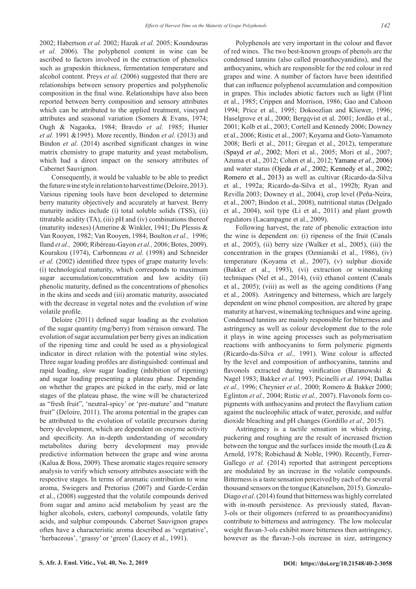2002; Habertson *et al.* 2002; Hazak *et al.* 2005; Koundouras *et al.* 2006). The polyphenol content in wine can be ascribed to factors involved in the extraction of phenolics such as grapeskin thickness, fermentation temperature and alcohol content. Preys *et al.* (2006) suggested that there are relationships between sensory properties and polyphenolic composition in the final wine. Relationships have also been reported between berry composition and sensory attributes which can be attributed to the applied treatment, vineyard attributes and seasonal variation (Somers & Evans, 1974; Ough & Nagaoka, 1984; Bravdo *et al.* 1985; Hunter *et al.* 1991 &1995). More recently, Bindon *et al*. (2013) and Bindon *et al*. (2014) ascribed significant changes in wine matrix chemistry to grape maturity and yeast metabolism, which had a direct impact on the sensory attributes of Cabernet Sauvignon.

Consequently, it would be valuable to be able to predict the future wine style in relation to harvest time (Deloire, 2013). Various ripening tools have been developed to determine berry maturity objectively and accurately at harvest. Berry maturity indices include (i) total soluble solids (TSS), (ii) titratable acidity (TA), (iii) pH and (iv) combinations thereof (maturity indexes) (Amerine & Winkler, 1941; Du Plessis & Van Rooyen, 1982; Van Rooyen, 1984; Boulton *et al.,* 1996; Iland *et al.,* 2000; Ribéreau-Gayon *et al.,* 2006; Botes, 2009). Kourakou (1974), Carbonneau *et al.* (1998) and Schneider *et al.* (2002) identified three types of grape maturity levels: (i) technological maturity, which corresponds to maximum sugar accumulation/concentration and low acidity (ii) phenolic maturity, defined as the concentrations of phenolics in the skins and seeds and (iii) aromatic maturity, associated with the decrease in vegetal notes and the evolution of wine volatile profile.

Deloire (2011) defined sugar loading as the evolution of the sugar quantity (mg/berry) from véraison onward. The evolution of sugar accumulation per berry gives an indication of the ripening time and could be used as a physiological indicator in direct relation with the potential wine styles. Three sugar loading profiles are distinguished: continual and rapid loading, slow sugar loading (inhibition of ripening) and sugar loading presenting a plateau phase. Depending on whether the grapes are picked in the early, mid or late stages of the plateau phase, the wine will be characterized as "fresh fruit", 'neutral-spicy' or 'pre-mature' and "mature fruit" (Deloire, 2011). The aroma potential in the grapes can be attributed to the evolution of volatile precursors during berry development, which are dependent on enzyme activity and specificity. An in-depth understanding of secondary metabolites during berry development may provide predictive information between the grape and wine aroma (Kalua & Boss, 2009). These aromatic stages require sensory analysis to verify which sensory attributes associate with the respective stages. In terms of aromatic contribution to wine aroma, Swiegers and Pretorius (2007) and Garde-Cerdán et al., (2008) suggested that the volatile compounds derived from sugar and amino acid metabolism by yeast are the higher alcohols, esters, carbonyl compounds, volatile fatty acids, and sulphur compounds. Cabernet Sauvignon grapes often have a characteristic aroma described as 'vegetative', 'herbaceous', 'grassy' or 'green' (Lacey et al., 1991).

Polyphenols are very important in the colour and flavor of red wines. The two best-known groups of phenols are the condensed tannins (also called proanthocyanidins), and the anthocyanins, which are responsible for the red colour in red grapes and wine. A number of factors have been identified that can influence polyphenol accumulation and composition in grapes. This includes abiotic factors such as light (Flint et al., 1985; Crippen and Morrison, 1986; Gao and Cahoon 1994; Price et al., 1995; Dokoozlian and Kliewer, 1996; Haselgrove et al., 2000; Bergqvist et al. 2001; Jordão et al., 2001; Kolb et al., 2003; Cortell and Kennedy 2006; Downey et al., 2006; Ristic et al., 2007; Koyama and Goto-Yamamoto 2008; Berli et al., 2011; Gregan et al., 2012), temperature (Spayd *et al.*, 2002; Mori et al., 2005; Mori et al., 2007; Azuma et al., 2012; Cohen et al., 2012; Yamane *et al.*, 2006) and water status (Ojeda *et al.*, 2002; Kennedy et al., 2002; Romero et al., 2013) as well as cultivar (Ricardo-da-Silva et al., 1992a; Ricardo-da-Silva et al., 1992b; Ryan and Revilla 2003; Downey et al., 2004), crop level (Peña-Neira, et al., 2007; Bindon et al., 2008), nutritional status (Delgado et al., 2004), soil type (Li et al., 2011) and plant growth regulators (Lacampagne et al., 2009).

Following harvest, the rate of phenolic extraction into the wine is dependent on: (i) ripeness of the fruit (Canals et al., 2005), (ii) berry size (Walker et al., 2005), (iii) the concentration in the grapes (Ozmianski et al., 1986), (iv) temperature (Koyama et al., 2007), (v) sulphur dioxide (Bakker et al., 1993), (vi) extraction or winemaking techniques (Nel et al., 2014), (vii) ethanol content (Canals et al., 2005); (viii) as well as the ageing conditions (Fang et al., 2008). Astringency and bitterness, which are largely dependent on wine phenol composition, are altered by grape maturity at harvest, winemaking techniques and wine ageing. Condensed tannins are mainly responsible for bitterness and astringency as well as colour development due to the role it plays in wine ageing processes such as polymerisation reactions with anthocyanins to form polymeric pigments (Ricardo-da-Silva *et al.,* 1991). Wine colour is affected by the level and composition of anthocyanins, tannins and flavonols extracted during vinification (Baranowski & Nagel 1983; Bakker *et al.* 1993; Picinelli *et al.* 1994; Dallas *et al.,* 1996; Cheynier *et al.,* 2000; Romero & Bakker 2000; Eglinton *et al.,* 2004; Ristic *et al.,* 2007). Flavonols form copigments with anthocyanins and protect the flavylium cation against the nucleophilic attack of water, peroxide, and sulfur dioxide bleaching and pH changes (Gordillo *et al.,* 2015).

Astringency is a tactile sensation in which drying, puckering and roughing are the result of increased friction between the tongue and the surfaces inside the mouth (Lea & Arnold, 1978; Robichaud & Noble, 1990). Recently, Ferrer-Gallego *et al.* (2014) reported that astringent perceptions are modulated by an increase in the volatile compounds. Bitterness is a taste sensation perceived by each of the several thousand sensors on the tongue (Katsnelson, 2015). Gonzalo-Diago *et al*. (2014) found that bitterness was highly correlated with in-mouth persistence. As previously stated, flavan-3-ols or their oligomers (referred to as proanthocyanidins) contribute to bitterness and astringency. The low molecular weight flavan-3-ols exhibit more bitterness then astringency, however as the flavan-3-ols increase in size, astringency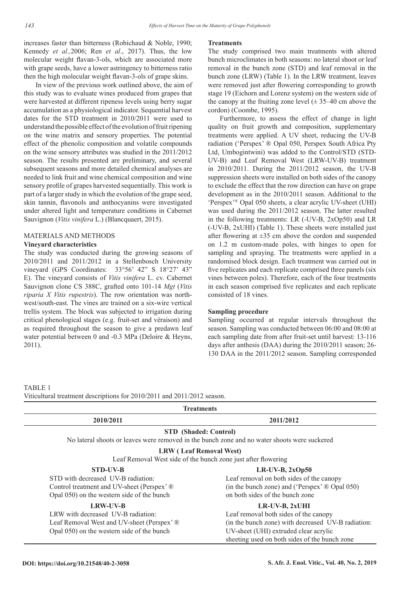increases faster than bitterness (Robichaud & Noble, 1990; Kennedy *et al.,*2006; Ren *et al*., 2017). Thus, the low molecular weight flavan-3-ols, which are associated more with grape seeds, have a lower astringency to bitterness ratio then the high molecular weight flavan-3-ols of grape skins.

In view of the previous work outlined above, the aim of this study was to evaluate wines produced from grapes that were harvested at different ripeness levels using berry sugar accumulation as a physiological indicator. Sequential harvest dates for the STD treatment in 2010/2011 were used to understand the possible effect of the evolution of fruit ripening on the wine matrix and sensory properties. The potential effect of the phenolic composition and volatile compounds on the wine sensory attributes was studied in the 2011/2012 season. The results presented are preliminary, and several subsequent seasons and more detailed chemical analyses are needed to link fruit and wine chemical composition and wine sensory profile of grapes harvested sequentially. This work is part of a larger study in which the evolution of the grape seed, skin tannin, flavonols and anthocyanins were investigated under altered light and temperature conditions in Cabernet Sauvignon (*Vitis vinifera* L.) (Blancquaert, 2015).

## MATERIALS AND METHODS

## **Vineyard characteristics**

The study was conducted during the growing seasons of 2010/2011 and 2011/2012 in a Stellenbosch University vineyard (GPS Coordinates: 33°56' 42" S 18°27' 43" E). The vineyard consists of *Vitis vinifera* L. cv. Cabernet Sauvignon clone CS 388C, grafted onto 101-14 *Mgt* (*Vitis riparia X Vitis rupestris*). The row orientation was northwest/south-east. The vines are trained on a six-wire vertical trellis system. The block was subjected to irrigation during critical phenological stages (e.g. fruit-set and véraison) and as required throughout the season to give a predawn leaf water potential between 0 and -0.3 MPa (Deloire & Heyns, 2011).

#### **Treatments**

The study comprised two main treatments with altered bunch microclimates in both seasons: no lateral shoot or leaf removal in the bunch zone (STD) and leaf removal in the bunch zone (LRW) (Table 1). In the LRW treatment, leaves were removed just after flowering corresponding to growth stage 19 (Eichorn and Lorenz system) on the western side of the canopy at the fruiting zone level  $(\pm 35-40)$  cm above the cordon) (Coombe, 1995).

Furthermore, to assess the effect of change in light quality on fruit growth and composition, supplementary treatments were applied. A UV sheet, reducing the UV-B radiation ('Perspex' ® Opal 050, Perspex South Africa Pty Ltd, Umbogintwini) was added to the Control/STD (STD-UV-B) and Leaf Removal West (LRW-UV-B) treatment in 2010/2011. During the 2011/2012 season, the UV-B suppression sheets were installed on both sides of the canopy to exclude the effect that the row direction can have on grape development as in the 2010/2011 season. Additional to the 'Perspex'® Opal 050 sheets, a clear acrylic UV-sheet (UHI) was used during the 2011/2012 season. The latter resulted in the following treatments: LR (-UV-B, 2xOp50) and LR (-UV-B, 2xUHI) (Table 1). These sheets were installed just after flowering at  $\pm 35$  cm above the cordon and suspended on 1.2 m custom-made poles, with hinges to open for sampling and spraying. The treatments were applied in a randomised block design. Each treatment was carried out in five replicates and each replicate comprised three panels (six vines between poles). Therefore, each of the four treatments in each season comprised five replicates and each replicate consisted of 18 vines.

## **Sampling procedure**

Sampling occurred at regular intervals throughout the season. Sampling was conducted between 06:00 and 08:00 at each sampling date from after fruit-set until harvest: 13-116 days after anthesis (DAA) during the 2010/2011 season; 26- 130 DAA in the 2011/2012 season. Sampling corresponded

TABLE 1 Viticultural treatment descriptions for 2010/2011 and 2011/2012 season.

| <b>Treatments</b>                                                                            |                                                    |  |  |  |
|----------------------------------------------------------------------------------------------|----------------------------------------------------|--|--|--|
| 2010/2011<br>2011/2012                                                                       |                                                    |  |  |  |
| <b>STD</b> (Shaded: Control)                                                                 |                                                    |  |  |  |
| No lateral shoots or leaves were removed in the bunch zone and no water shoots were suckered |                                                    |  |  |  |
| <b>LRW</b> (Leaf Removal West)                                                               |                                                    |  |  |  |
| Leaf Removal West side of the bunch zone just after flowering                                |                                                    |  |  |  |
| <b>STD-UV-B</b>                                                                              | $LR$ -UV-B, $2xOp50$                               |  |  |  |
| STD with decreased UV-B radiation.                                                           | Leaf removal on both sides of the canopy           |  |  |  |
| Control treatment and UV-sheet (Perspex' ®                                                   | (in the bunch zone) and ('Perspex' ® Opal 050)     |  |  |  |
| Opal 050) on the western side of the bunch                                                   | on both sides of the bunch zone                    |  |  |  |
| <b>LRW-UV-B</b>                                                                              | $LR$ -UV-B, $2xUHI$                                |  |  |  |
| LRW with decreased UV-B radiation:                                                           | Leaf removal both sides of the canopy              |  |  |  |
| Leaf Removal West and UV-sheet (Perspex' ®                                                   | (in the bunch zone) with decreased UV-B radiation: |  |  |  |
| Opal 050) on the western side of the bunch                                                   | UV-sheet (UHI) extruded clear acrylic              |  |  |  |
|                                                                                              | sheeting used on both sides of the bunch zone      |  |  |  |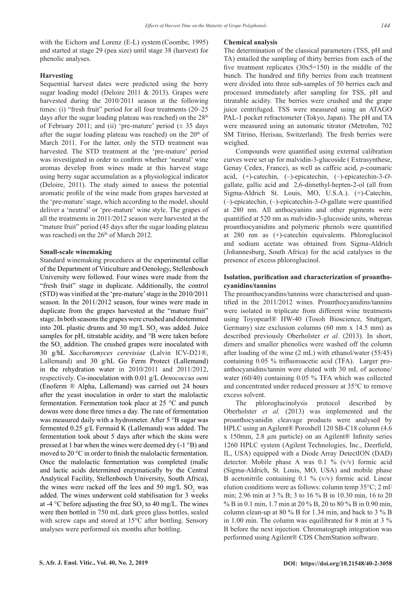with the Eichorn and Lorenz (E-L) system (Coombe, 1995) and started at stage 29 (pea size) until stage 38 (harvest) for phenolic analyses.

## **Harvesting**

Sequential harvest dates were predicted using the berry sugar loading model (Deloire 2011 & 2013). Grapes were harvested during the 2010/2011 season at the following times: (i) "fresh fruit" period for all four treatments (20–25 days after the sugar loading plateau was reached) on the  $28<sup>th</sup>$ of February 2011; and (ii) 'pre-mature' period  $(\pm 35$  days after the sugar loading plateau was reached) on the  $20<sup>th</sup>$  of March 2011. For the latter, only the STD treatment was harvested. The STD treatment at the 'pre-mature' period was investigated in order to confirm whether 'neutral' wine aromas develop from wines made at this harvest stage using berry sugar accumulation as a physiological indicator (Deloire, 2011). The study aimed to assess the potential aromatic profile of the wine made from grapes harvested at the 'pre-mature' stage, which according to the model, should deliver a 'neutral' or 'pre-mature' wine style. The grapes of all the treatments in 2011/2012 season were harvested at the "mature fruit" period (45 days after the sugar loading plateau was reached) on the  $26<sup>th</sup>$  of March 2012.

### **Small-scale winemaking**

Standard winemaking procedures at the experimental cellar of the Department of Viticulture and Oenology, Stellenbosch University were followed. Four wines were made from the "fresh fruit" stage in duplicate. Additionally, the control (STD) was vinified at the 'pre-mature' stage in the 2010/2011 season. In the 2011/2012 season, four wines were made in duplicate from the grapes harvested at the "mature fruit" stage. In both seasons the grapes were crushed and destemmed into 20L plastic drums and 30 mg/L  $SO_2$  was added. Juice samples for pH, titratable acidity, and °B were taken before the  $SO_2$  addition. The crushed grapes were inoculated with 30 g/hL *Saccharomyces cerevisiae* (Lalvin ICV-D21®, Lallemand) and 30 g/hL Go Ferm Protect (Lallemand) in the rehydration water in 2010/2011 and 2011/2012, respectively. Co-inoculation with 0.01 g/L *Oenococcus oeni*  (Enoferm ® Alpha, Lallemand) was carried out 24 hours after the yeast inoculation in order to start the malolactic fermentation. Fermentation took place at 25 °C and punch downs were done three times a day. The rate of fermentation was measured daily with a hydrometer. After 5 °B sugar was fermented 0.25 g/L Fermaid K (Lallemand) was added. The fermentation took about 5 days after which the skins were pressed at 1 bar when the wines were deemed dry (-1 °B) and moved to 20 °C in order to finish the malolactic fermentation. Once the malolactic fermentation was completed (malic and lactic acids determined enzymatically by the Central Analytical Facility, Stellenbosch University, South Africa), the wines were racked off the lees and 50 mg/L  $SO_2$  was added. The wines underwent cold stabilisation for 3 weeks at -4 °C before adjusting the free  $SO_2$  to 40 mg/L. The wines were then bottled in 750 mL dark green glass bottles, sealed with screw caps and stored at 15<sup>o</sup>C after bottling. Sensory analyses were performed six months after bottling.

#### **Chemical analysis**

The determination of the classical parameters (TSS, pH and TA) entailed the sampling of thirty berries from each of the five treatment replicates  $(30x5=150)$  in the middle of the bunch. The hundred and fifty berries from each treatment were divided into three sub-samples of 50 berries each and processed immediately after sampling for TSS, pH and titratable acidity. The berries were crushed and the grape juice centrifuged. TSS were measured using an ATAGO PAL-1 pocket refractometer (Tokyo, Japan). The pH and TA were measured using an automatic titrator (Metrohm, 702 SM Titrino, Herisau, Switzerland). The fresh berries were weighed.

Compounds were quantified using external calibration curves were set up for malvidin-3-glucoside ( Extrasynthese, Genay Cedex, France), as well as caffeic acid, *p*-coumaric acid, (+)-catechin, (–)-epicatechin, (–)-epicatechin-3-*O*gallate, gallic acid and 2,6-dimethyl-hepten-2-ol (all from Sigma-Aldrich St. Louis, MO, U.S.A.). (+)-Catechin, (–)-epicatechin, (–)-epicatechin-3-*O*-gallate were quantified at 280 nm. All anthocyanins and other pigments were quantified at 520 nm as malvidin-3-glucoside units, whereas proanthocyanidins and polymeric phenols were quantified at 280 nm as (+)-catechin equivalents. Phloroglucinol and sodium acetate was obtained from Sigma-Aldrich (Johannesburg, South Africa) for the acid catalyses in the presence of excess phloroglucinol.

## **Isolation, purification and characterization of proanthocyanidins/tannins**

The proanthocyandins/tannins were characterised and quantified in the 2011/2012 wines. Proanthocyanidins/tannins were isolated in triplicate from different wine treatments using Toyopearl® HW-40 (Tosoh Bioscience, Stuttgart, Germany) size exclusion columns (60 mm x 14.5 mm) as described previously Oberholster *et al.* (2013). In short, dimers and smaller phenolics were washed off the column after loading of the wine (2 mL) with ethanol/water (55/45) containing 0.05 % trifluoroacetic acid (TFA). Larger proanthocyanidins/tannin were eluted with 30 mL of acetone/ water (60/40) containing 0.05 % TFA which was collected and concentrated under reduced pressure at 35°C to remove excess solvent.

The phloroglucinolysis protocol described by Oberholster *et al.* (2013) was implemented and the proanthocyanidin cleavage products were analysed by HPLC using an Agilent® Poroshell 120 SB-C18 column (4.6 x 150mm, 2.8 µm particle) on an Agilent® Infinity series 1260 HPLC system (Agilent Technologies, Inc., Deerfield, IL, USA) equipped with a Diode Array DetectION (DAD) detector. Mobile phase A was 0.1 % (v/v) formic acid (Sigma-Aldrich, St. Louis, MO, USA) and mobile phase B acetonitrile containing  $0.1 \%$  (v/v) formic acid. Linear elution conditions were as follows: column temp 35°C; 2 ml/ min; 2.96 min at 3 % B; 3 to 16 % B in 10.30 min, 16 to 20 % B in 0.1 min, 1.7 min at 20 % B, 20 to 80 % B in 0.90 min, column clean-up at 80 % B for 1.34 min, and back to 3 % B in 1.00 min. The column was equilibrated for 8 min at 3 % B before the next injection. Chromatograph integration was performed using Agilent® CDS ChemStation software.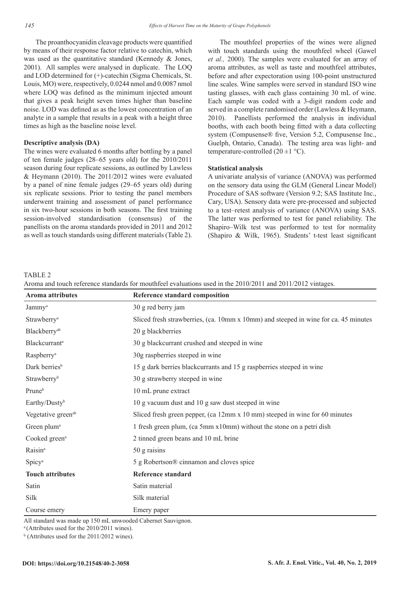The proanthocyanidin cleavage products were quantified by means of their response factor relative to catechin, which was used as the quantitative standard (Kennedy & Jones, 2001). All samples were analysed in duplicate. The LOQ and LOD determined for (+)-catechin (Sigma Chemicals, St. Louis, MO) were, respectively, 0.0244 nmol and 0.0087 nmol where LOQ was defined as the minimum injected amount that gives a peak height seven times higher than baseline noise. LOD was defined as as the lowest concentration of an analyte in a sample that results in a peak with a height three times as high as the baseline noise level.

### **Descriptive analysis (DA)**

The wines were evaluated 6 months after bottling by a panel of ten female judges (28–65 years old) for the 2010/2011 season during four replicate sessions, as outlined by Lawless & Heymann (2010). The 2011/2012 wines were evaluated by a panel of nine female judges (29–65 years old) during six replicate sessions. Prior to testing the panel members underwent training and assessment of panel performance in six two-hour sessions in both seasons. The first training session-involved standardisation (consensus) of the panellists on the aroma standards provided in 2011 and 2012 as well as touch standards using different materials (Table 2).

The mouthfeel properties of the wines were aligned with touch standards using the mouthfeel wheel (Gawel *et al.,* 2000). The samples were evaluated for an array of aroma attributes, as well as taste and mouthfeel attributes, before and after expectoration using 100-point unstructured line scales. Wine samples were served in standard ISO wine tasting glasses, with each glass containing 30 mL of wine. Each sample was coded with a 3-digit random code and served in a complete randomised order (Lawless & Heymann, 2010). Panellists performed the analysis in individual booths, with each booth being fitted with a data collecting system (Compusense® five, Version 5.2, Compusense Inc., Guelph, Ontario, Canada). The testing area was light- and temperature-controlled  $(20 \pm 1 \degree C)$ .

#### **Statistical analysis**

A univariate analysis of variance (ANOVA) was performed on the sensory data using the GLM (General Linear Model) Procedure of SAS software (Version 9.2; SAS Institute Inc., Cary, USA). Sensory data were pre-processed and subjected to a test–retest analysis of variance (ANOVA) using SAS. The latter was performed to test for panel reliability. The Shapiro–Wilk test was performed to test for normality (Shapiro & Wilk, 1965). Students' t-test least significant

TABLE 2

Aroma and touch reference standards for mouthfeel evaluations used in the 2010/2011 and 2011/2012 vintages.

| <b>Aroma attributes</b>          | Reference standard composition                                                      |
|----------------------------------|-------------------------------------------------------------------------------------|
| Jammy <sup>a</sup>               | 30 g red berry jam                                                                  |
| Strawberry <sup>a</sup>          | Sliced fresh strawberries, (ca. 10mm x 10mm) and steeped in wine for ca. 45 minutes |
| Blackberry <sup>ab</sup>         | 20 g blackberries                                                                   |
| <b>Blackcurrant</b> <sup>a</sup> | 30 g blackcurrant crushed and steeped in wine                                       |
| Raspberry <sup>a</sup>           | 30g raspberries steeped in wine                                                     |
| Dark berries <sup>b</sup>        | 15 g dark berries blackcurrants and 15 g raspberries steeped in wine                |
| Strawberry <sup>b</sup>          | 30 g strawberry steeped in wine                                                     |
| Pruneb                           | 10 mL prune extract                                                                 |
| Earthy/Dusty <sup>b</sup>        | 10 g vacuum dust and 10 g saw dust steeped in wine                                  |
| Vegetative green <sup>ab</sup>   | Sliced fresh green pepper, (ca 12mm x 10 mm) steeped in wine for 60 minutes         |
| Green plum <sup>a</sup>          | 1 fresh green plum, (ca 5mm x10mm) without the stone on a petri dish                |
| Cooked green <sup>a</sup>        | 2 tinned green beans and 10 mL brine                                                |
| Raisin <sup>a</sup>              | 50 g raisins                                                                        |
| Spicy <sup>a</sup>               | 5 g Robertson® cinnamon and cloves spice                                            |
| <b>Touch attributes</b>          | <b>Reference standard</b>                                                           |
| Satin                            | Satin material                                                                      |
| Silk                             | Silk material                                                                       |
| Course emery                     | Emery paper                                                                         |

All standard was made up 150 mL unwooded Cabernet Sauvignon.

 $a$ (Attributes used for the 2010/2011 wines).

b (Attributes used for the 2011/2012 wines).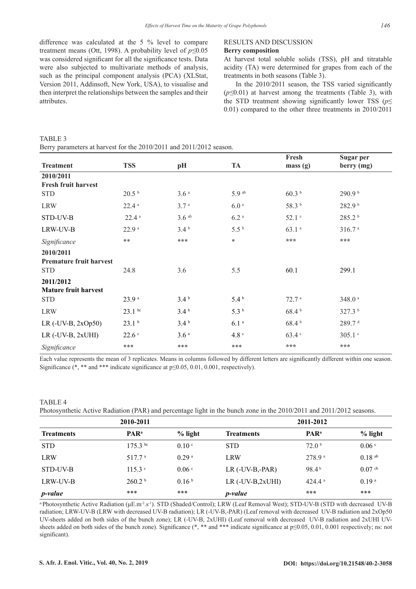difference was calculated at the 5 % level to compare treatment means (Ott, 1998). A probability level of *p≤*0.05 was considered significant for all the significance tests. Data were also subjected to multivariate methods of analysis, such as the principal component analysis (PCA) (XLStat, Version 2011, Addinsoft, New York, USA), to visualise and then interpret the relationships between the samples and their attributes.

## RESULTS AND DISCUSSION

## **Berry composition**

At harvest total soluble solids (TSS), pH and titratable acidity (TA) were determined for grapes from each of the treatments in both seasons (Table 3).

In the 2010/2011 season, the TSS varied significantly (*p≤*0.01) at harvest among the treatments (Table 3), with the STD treatment showing significantly lower TSS ( $p \leq$ 0.01) compared to the other three treatments in 2010/2011

| Berry parameters at harvest for the 2010/2011 and 2011/2012 season. |                     |                     |                    |                   |                    |  |  |  |
|---------------------------------------------------------------------|---------------------|---------------------|--------------------|-------------------|--------------------|--|--|--|
|                                                                     |                     |                     |                    | Fresh             | Sugar per          |  |  |  |
| <b>Treatment</b>                                                    | <b>TSS</b>          | pH                  | <b>TA</b>          | mass(g)           | berry (mg)         |  |  |  |
| 2010/2011                                                           |                     |                     |                    |                   |                    |  |  |  |
| <b>Fresh fruit harvest</b>                                          |                     |                     |                    |                   |                    |  |  |  |
| <b>STD</b>                                                          | 20.5 <sup>b</sup>   | 3.6 <sup>a</sup>    | $5.9$ ab           | 60.3 <sup>b</sup> | 290.9 b            |  |  |  |
| <b>LRW</b>                                                          | $22.4$ <sup>a</sup> | 3.7 <sup>a</sup>    | 6.0 <sup>a</sup>   | 58.3 b            | 282.9 b            |  |  |  |
| STD-UV-B                                                            | 22.4a               | $3.6$ <sup>ab</sup> | $6.2$ <sup>a</sup> | 52.1 c            | 285.2 b            |  |  |  |
| LRW-UV-B                                                            | 22.9 <sup>a</sup>   | 3.4 <sup>b</sup>    | 5.5 <sup>b</sup>   | 63.1 <sup>a</sup> | 316.7 <sup>a</sup> |  |  |  |
| Significance                                                        | $**$                | ***                 | $\ast$             | ***               | ***                |  |  |  |
| 2010/2011                                                           |                     |                     |                    |                   |                    |  |  |  |
| <b>Premature fruit harvest</b>                                      |                     |                     |                    |                   |                    |  |  |  |
| <b>STD</b>                                                          | 24.8                | 3.6                 | 5.5                | 60.1              | 299.1              |  |  |  |
| 2011/2012                                                           |                     |                     |                    |                   |                    |  |  |  |
| <b>Mature fruit harvest</b>                                         |                     |                     |                    |                   |                    |  |  |  |
| <b>STD</b>                                                          | 23.9 <sup>a</sup>   | 3.4 <sup>b</sup>    | 5.4 <sup>b</sup>   | 72.7 <sup>a</sup> | 348.0 <sup>a</sup> |  |  |  |
| <b>LRW</b>                                                          | $23.1$ bc           | 3.4 <sup>b</sup>    | 5.3 <sup>b</sup>   | 68.4 <sup>b</sup> | 327.3 b            |  |  |  |
| LR $(-UV-B, 2xOp50)$                                                | 23.1 <sup>b</sup>   | 3.4 <sup>b</sup>    | 6.1 <sup>a</sup>   | 68.4 <sup>b</sup> | 289.7 <sup>d</sup> |  |  |  |
| $LR$ (-UV-B, 2xUHI)                                                 | 22.6 <sup>c</sup>   | 3.6 <sup>a</sup>    | $4.8\,^{\circ}$    | 63.4 c            | $305.1$ $\degree$  |  |  |  |
| Significance                                                        | ***                 | ***                 | ***                | ***               | ***                |  |  |  |

Each value represents the mean of 3 replicates. Means in columns followed by different letters are significantly different within one season. Significance (\*, \*\* and \*\*\* indicate significance at p≤0.05, 0.01, 0.001, respectively).

### TABLE 4

TABLE 3

Photosynthetic Active Radiation (PAR) and percentage light in the bunch zone in the 2010/2011 and 2011/2012 seasons.

|                   | 2010-2011               |                   |                    | 2011-2012               |                   |
|-------------------|-------------------------|-------------------|--------------------|-------------------------|-------------------|
| <b>Treatments</b> | <b>PAR</b> <sup>a</sup> | $%$ light         | <b>Treatments</b>  | <b>PAR</b> <sup>a</sup> | $%$ light         |
| <b>STD</b>        | $175.3$ bc              | 0.10 <sup>c</sup> | <b>STD</b>         | 72.0 <sup>b</sup>       | 0.06 <sup>c</sup> |
| <b>LRW</b>        | 517.7 <sup>a</sup>      | 0.29 <sup>a</sup> | <b>LRW</b>         | 278.9 <sup>a</sup>      | $0.18$ ab         |
| STD-UV-B          | $115.3$ °               | 0.06 <sup>c</sup> | $LR$ (-UV-B,-PAR)  | 98.4 <sup>b</sup>       | $0.07$ cb         |
| LRW-UV-B          | 260.2 <sup>b</sup>      | 0.16 <sup>b</sup> | $LR$ (-UV-B,2xUHI) | $424.4$ <sup>a</sup>    | 0.19 <sup>a</sup> |
| <i>p</i> -value   | ***                     | ***               | <i>p</i> -value    | ***                     | ***               |

a-Photosynthetic Active Radiation (μE.m<sup>-2</sup>.s<sup>-1</sup>). STD (Shaded/Control); LRW (Leaf Removal West); STD-UV-B (STD with decreased UV-B radiation; LRW-UV-B (LRW with decreased UV-B radiation); LR (-UV-B,-PAR) (Leaf removal with decreased UV-B radiation and 2xOp50 UV-sheets added on both sides of the bunch zone); LR (-UV-B, 2xUHI) (Leaf removal with decreased UV-B radiation and 2xUHI UVsheets added on both sides of the bunch zone). Significance (\*, \*\* and \*\*\* indicate significance at p≤0.05, 0.01, 0.001 respectively; ns: not significant).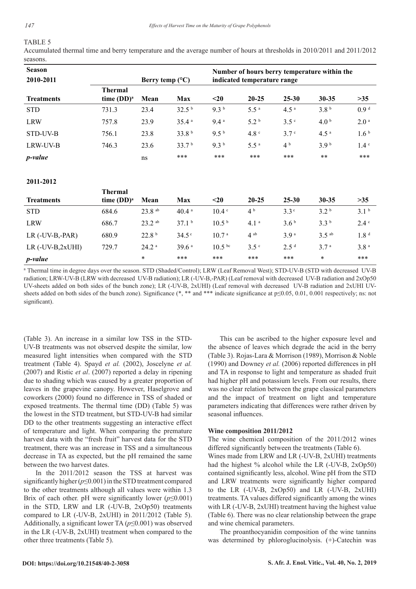## TABLE 5

Accumulated thermal time and berry temperature and the average number of hours at thresholds in 2010/2011 and 2011/2012 seasons.

| <b>Season</b>     |                                 |                          |                   | Number of hours berry temperature within the |                             |                  |                  |                  |  |
|-------------------|---------------------------------|--------------------------|-------------------|----------------------------------------------|-----------------------------|------------------|------------------|------------------|--|
| 2010-2011         |                                 | Berry temp $(^{\circ}C)$ |                   |                                              | indicated temperature range |                  |                  |                  |  |
| <b>Treatments</b> | <b>Thermal</b><br>time $(DD)^a$ | Mean                     | <b>Max</b>        | $20$                                         | $20 - 25$                   | $25 - 30$        | $30 - 35$        | >35              |  |
| <b>STD</b>        | 731.3                           | 23.4                     | 32.5 <sup>b</sup> | 9.3 <sup>b</sup>                             | $5.5^{\circ}$               | 4.5 <sup>a</sup> | 3.8 <sup>b</sup> | 0.9 <sup>d</sup> |  |
| <b>LRW</b>        | 757.8                           | 23.9                     | 35.4 <sup>a</sup> | 9.4a                                         | 5.2 <sup>b</sup>            | 3.5 <sup>c</sup> | 4.0 <sup>b</sup> | 2.0 <sup>a</sup> |  |
| STD-UV-B          | 756.1                           | 23.8                     | 33.8 <sup>b</sup> | 9.5 <sup>b</sup>                             | 4.8 <sup>c</sup>            | 3.7 <sup>c</sup> | 4.5 <sup>a</sup> | 1.6 <sup>b</sup> |  |
| LRW-UV-B          | 746.3                           | 23.6                     | 33.7 <sup>b</sup> | 9.3 <sup>b</sup>                             | $5.5^{\circ}$               | 4 <sup>b</sup>   | 3.9 <sup>b</sup> | 1.4 <sup>c</sup> |  |
| <i>p</i> -value   |                                 | ns                       | ***               | ***                                          | ***                         | ***              | $***$            | ***              |  |

## **2011-2012**

| <b>Treatments</b>  | <b>Thermal</b><br>time $(DD)^a$ | Mean                 | Max               | $20$              | $20 - 25$        | $25 - 30$        | $30 - 35$           | >35              |
|--------------------|---------------------------------|----------------------|-------------------|-------------------|------------------|------------------|---------------------|------------------|
| <b>STD</b>         | 684.6                           | $23.8$ <sup>ab</sup> | 40.4 <sup>a</sup> | 10.4 <sup>c</sup> | 4 <sup>b</sup>   | 3.3 <sup>c</sup> | 3.2 <sup>b</sup>    | 3.1 <sup>b</sup> |
| <b>LRW</b>         | 686.7                           | $23.2$ ab            | 37.1 <sup>b</sup> | 10.5 <sup>b</sup> | 4.1 <sup>a</sup> | 3.6 <sup>b</sup> | 3.3 <sup>b</sup>    | $2.4^{\circ}$    |
| $LR$ (-UV-B,-PAR)  | 680.9                           | 22.8 <sup>b</sup>    | $34.5^{\circ}$    | 10.7 <sup>a</sup> | $4^{ab}$         | 3.9 <sup>a</sup> | $3.5$ <sup>ab</sup> | 1.8 <sup>d</sup> |
| $LR$ (-UV-B,2xUHI) | 729.7                           | 24.2 <sup>a</sup>    | 39.6a             | $10.5 \text{ pc}$ | 3.5 <sup>c</sup> | 2.5 <sup>d</sup> | 3.7 <sup>a</sup>    | 3.8 <sup>a</sup> |
| <i>p</i> -value    |                                 | $\ast$               | ***               | ***               | ***              | ***              | $\star$             | ***              |

<sup>a</sup> Thermal time in degree days over the season. STD (Shaded/Control); LRW (Leaf Removal West); STD-UV-B (STD with decreased UV-B radiation; LRW-UV-B (LRW with decreased UV-B radiation); LR (-UV-B,-PAR) (Leaf removal with decreased UV-B radiation and 2xOp50 UV-sheets added on both sides of the bunch zone); LR (-UV-B, 2xUHI) (Leaf removal with decreased UV-B radiation and 2xUHI UVsheets added on both sides of the bunch zone). Significance (\*, \*\* and \*\*\* indicate significance at p≤0.05, 0.01, 0.001 respectively; ns: not significant).

(Table 3). An increase in a similar low TSS in the STD-UV-B treatments was not observed despite the similar, low measured light intensities when compared with the STD treatment (Table 4). Spayd *et al.* (2002), Joscelyne *et al.*  (2007) and Ristic *et al*. (2007) reported a delay in ripening due to shading which was caused by a greater proportion of leaves in the grapevine canopy. However, Haselgrove and coworkers (2000) found no difference in TSS of shaded or exposed treatments. The thermal time (DD) (Table 5) was the lowest in the STD treatment, but STD-UV-B had similar DD to the other treatments suggesting an interactive effect of temperature and light. When comparing the premature harvest data with the "fresh fruit" harvest data for the STD treatment, there was an increase in TSS and a simultaneous decrease in TA as expected, but the pH remained the same between the two harvest dates.

In the 2011/2012 season the TSS at harvest was significantly higher (*p*≤0.001) in the STD treatment compared to the other treatments although all values were within 1.3 Brix of each other. pH were significantly lower ( $p \le 0.001$ ) in the STD, LRW and LR (-UV-B, 2xOp50) treatments compared to LR (-UV-B, 2xUHI) in 2011/2012 (Table 5). Additionally, a significant lower TA (*p*≤0.001) was observed in the LR (-UV-B, 2xUHI) treatment when compared to the other three treatments (Table 5).

This can be ascribed to the higher exposure level and the absence of leaves which degrade the acid in the berry (Table 3). Rojas-Lara & Morrison (1989), Morrison & Noble (1990) and Downey *et al.* (2006) reported differences in pH and TA in response to light and temperature as shaded fruit had higher pH and potassium levels. From our results, there was no clear relation between the grape classical parameters and the impact of treatment on light and temperature parameters indicating that differences were rather driven by seasonal influences.

## **Wine composition 2011/2012**

The wine chemical composition of the 2011/2012 wines differed significantly between the treatments (Table 6).

Wines made from LRW and LR (-UV-B, 2xUHI) treatments had the highest % alcohol while the LR (-UV-B, 2xOp50) contained significantly less, alcohol. Wine pH from the STD and LRW treatments were significantly higher compared to the LR (-UV-B, 2xOp50) and LR (-UV-B, 2xUHI) treatments. TA values differed significantly among the wines with LR (-UV-B, 2xUHI) treatment having the highest value (Table 6). There was no clear relationship between the grape and wine chemical parameters.

The proanthocyanidin composition of the wine tannins was determined by phloroglucinolysis. (+)-Catechin was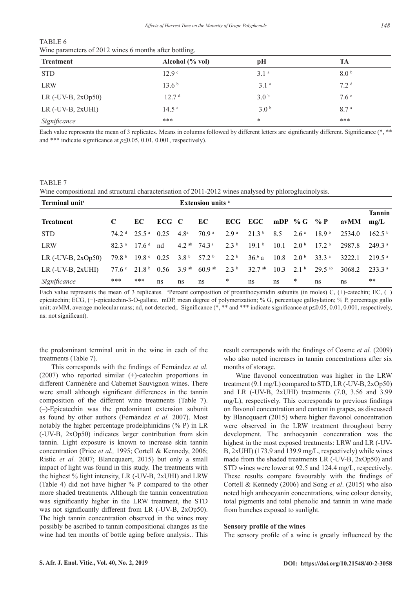| <b>Treatment</b>     | Alcohol (% vol)   | pH               | TA               |
|----------------------|-------------------|------------------|------------------|
| <b>STD</b>           | 12.9 <sup>c</sup> | 3.1 <sup>a</sup> | 8.0 <sup>b</sup> |
| <b>LRW</b>           | 13.6 <sup>b</sup> | 3.1 <sup>a</sup> | 7.2 <sup>d</sup> |
| LR $(-UV-B, 2xOp50)$ | 12.7 <sup>d</sup> | 3.0 <sup>b</sup> | 7.6 <sup>c</sup> |
| $LR$ (-UV-B, 2xUHI)  | 14.5 <sup>a</sup> | 3.0 <sup>b</sup> | 8.7 <sup>a</sup> |
| Significance         | ***               | $\ast$           | ***              |

TABLE 6 Wine parameters of 2012 wines 6 months after bottling.

Each value represents the mean of 3 replicates. Means in columns followed by different letters are significantly different. Significance (\*, \*\* and \*\*\* indicate significance at *p≤*0.05, 0.01, 0.001, respectively).

#### TABLE 7

Wine compositional and structural characterisation of 2011-2012 wines analysed by phloroglucinolysis.

| Terminal unit <sup>s</sup> |                   |                                |       |                             | <b>Extension units</b> a   |                  |                   |                              |                 |                    |        |                       |
|----------------------------|-------------------|--------------------------------|-------|-----------------------------|----------------------------|------------------|-------------------|------------------------------|-----------------|--------------------|--------|-----------------------|
| <b>Treatment</b>           |                   | EC.                            | ECG C |                             | EC.                        |                  | ECG EGC           | mDP % G % P                  |                 |                    | avMM   | <b>Tannin</b><br>mg/L |
| <b>STD</b>                 |                   | $74.2d$ 25.5 <sup>a</sup> 0.25 |       | 4 8 <sup>a</sup>            | 70 9 <sup>a</sup>          | 29 <sup>a</sup>  | 21.3 <sup>b</sup> | 85                           | 2.6a            | 189 <sup>b</sup>   | 2534.0 | 162.5 <sup>b</sup>    |
| <b>LRW</b>                 | 823a              | 176 <sup>d</sup>               | nd    | $42^{ab}$ 74 3 <sup>a</sup> |                            | 2.3 <sup>b</sup> | 191 <sup>b</sup>  | 10.1                         | 20 <sup>b</sup> | $172^{\mathrm{b}}$ | 2987.8 | $2493^{\circ}$        |
| LR $(-UV-B, 2xOp50)$       | 79 8 <sup>b</sup> | $19.8^{\circ}$ 0.25            |       |                             | $3.8b$ 57.2 <sup>b</sup>   | 2.2 <sup>b</sup> | 36.6a             | $10.8\quad 2.0^{\mathrm{b}}$ |                 | 33.3 <sup>a</sup>  | 3222.1 | 219.5 <sup>a</sup>    |
| LR $(-UV-B, 2xUHI)$        |                   | $77.6^{\circ}$ 21.8 b          | 0.56  |                             | $3.9ab$ 60.9 <sup>ab</sup> | 2.3 <sup>b</sup> | $327$ ab          | 103                          | 21 <sup>b</sup> | $29.5$ ab          | 3068.2 | $2333^a$              |
| Significance               | ***               | ***                            | ns    | ns                          | ns                         | *                | ns                | ns                           | *               | ns                 | ns     | **                    |

Each value represents the mean of 3 replicates. <sup>a</sup>Percent composition of proanthocyanidin subunits (in moles) C, (+)-catechin; EC, (-) epicatechin; ECG, (−)-epicatechin-3-O-gallate. mDP, mean degree of polymerization; % G, percentage galloylation; % P, percentage gallo unit; avMM, average molecular mass; nd, not detected;. Significance (\*, \*\* and \*\*\* indicate significance at p≤0.05, 0.01, 0.001, respectively, ns: not significant).

the predominant terminal unit in the wine in each of the treatments (Table 7).

This corresponds with the findings of Fernández *et al.*  (2007) who reported similar (+)-catechin proportions in different Carménère and Cabernet Sauvignon wines. There were small although significant differences in the tannin composition of the different wine treatments (Table 7). (–)-Epicatechin was the predominant extension subunit as found by other authors (Fernández *et al.* 2007). Most notably the higher percentage prodelphinidins (% P) in LR (-UV-B, 2xOp50) indicates larger contribution from skin tannin. Light exposure is known to increase skin tannin concentration (Price *et al.,* 1995; Cortell & Kennedy, 2006; Ristic *et al.* 2007; Blancquaert, 2015) but only a small impact of light was found in this study. The treatments with the highest % light intensity, LR (-UV-B, 2xUHI) and LRW (Table 4) did not have higher % P compared to the other more shaded treatments. Although the tannin concentration was significantly higher in the LRW treatment, the STD was not significantly different from LR (-UV-B, 2xOp50). The high tannin concentration observed in the wines may possibly be ascribed to tannin compositional changes as the wine had ten months of bottle aging before analysis.. This

result corresponds with the findings of Cosme *et al.* (2009) who also noted increases in tannin concentrations after six months of storage.

Wine flavonol concentration was higher in the LRW treatment (9.1 mg/L) compared to STD, LR (-UV-B, 2xOp50) and LR (-UV-B, 2xUHI) treatments (7.0, 3.56 and 3.99 mg/L), respectively. This corresponds to previous findings on flavonol concentration and content in grapes, as discussed by Blancquaert (2015) where higher flavonol concentration were observed in the LRW treatment throughout berry development. The anthocyanin concentration was the highest in the most exposed treatments: LRW and LR (-UV-B, 2xUHI) (173.9 and 139.9 mg/L, respectively) while wines made from the shaded treatments LR (-UV-B, 2xOp50) and STD wines were lower at 92.5 and 124.4 mg/L, respectively. These results compare favourably with the findings of Cortell & Kennedy (2006) and Song *et al*. (2015) who also noted high anthocyanin concentrations, wine colour density, total pigments and total phenolic and tannin in wine made from bunches exposed to sunlight.

### **Sensory profile of the wines**

The sensory profile of a wine is greatly influenced by the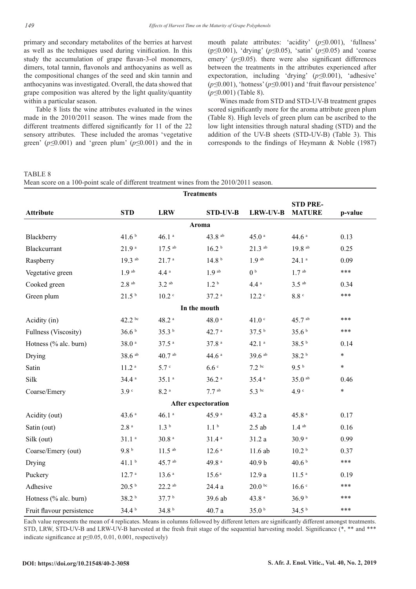primary and secondary metabolites of the berries at harvest as well as the techniques used during vinification. In this study the accumulation of grape flavan-3-ol monomers, dimers, total tannin, flavonols and anthocyanins as well as the compositional changes of the seed and skin tannin and anthocyanins was investigated. Overall, the data showed that grape composition was altered by the light quality/quantity within a particular season.

Table 8 lists the wine attributes evaluated in the wines made in the 2010/2011 season. The wines made from the different treatments differed significantly for 11 of the 22 sensory attributes. These included the aromas 'vegetative green' (*p≤*0.001) and 'green plum' (*p≤*0.001) and the in mouth palate attributes: 'acidity' (*p≤*0.001), 'fullness' (p≤0.001), 'drying' (*p≤*0.05), 'satin' (*p≤*0.05) and 'coarse emery' (*p≤*0.05). there were also significant differences between the treatments in the attributes experienced after expectoration, including 'drying' (*p≤*0.001), 'adhesive' (*p≤*0.001), 'hotness' (*p≤*0.001) and 'fruit flavour persistence' (*p≤*0.001) (Table 8).

Wines made from STD and STD-UV-B treatment grapes scored significantly more for the aroma attribute green plum (Table 8). High levels of green plum can be ascribed to the low light intensities through natural shading (STD) and the addition of the UV-B sheets (STD-UV-B) (Table 3). This corresponds to the findings of Heymann & Noble (1987)

### TABLE 8

Mean score on a 100-point scale of different treatment wines from the 2010/2011 season.

| <b>Treatments</b>         |                       |                      |                            |                      |                                  |         |
|---------------------------|-----------------------|----------------------|----------------------------|----------------------|----------------------------------|---------|
| <b>Attribute</b>          | <b>STD</b>            | <b>LRW</b>           | <b>STD-UV-B</b>            | <b>LRW-UV-B</b>      | <b>STD PRE-</b><br><b>MATURE</b> | p-value |
|                           |                       |                      | Aroma                      |                      |                                  |         |
| Blackberry                | 41.6 <sup>b</sup>     | $46.1~^\mathrm{a}$   | 43.8 ab                    | 45.0 <sup>a</sup>    | 44.6a                            | 0.13    |
| Blackcurrant              | 21.9 <sup>a</sup>     | $17.5$ ab            | 16.2 <sup>b</sup>          | $21.3$ <sup>ab</sup> | $19.8$ ab                        | 0.25    |
| Raspberry                 | $19.3$ ab             | 21.7 <sup>a</sup>    | 14.8 <sup>b</sup>          | 1.9 <sup>ab</sup>    | $24.1$ <sup>a</sup>              | 0.09    |
| Vegetative green          | 1.9 <sup>ab</sup>     | 4.4 <sup>a</sup>     | 1.9 <sup>ab</sup>          | 0 <sup>b</sup>       | 1.7 <sup>ab</sup>                | ***     |
| Cooked green              | $2.8$ <sup>ab</sup>   | $3.2$ <sup>ab</sup>  | 1.2 <sup>b</sup>           | 4.4a                 | $3.5$ <sup>ab</sup>              | 0.34    |
| Green plum                | 21.5 <sup>b</sup>     | $10.2$ $\degree$     | 37.2 <sup>a</sup>          | 12.2                 | 8.8 <sup>c</sup>                 | ***     |
|                           |                       |                      | In the mouth               |                      |                                  |         |
| Acidity (in)              | $42.2 \text{ } ^{bc}$ | $48.2$ <sup>a</sup>  | $48.0\,$ $^{\circ}$        | 41.0 <sup>c</sup>    | 45.7 ab                          | ***     |
| Fullness (Viscosity)      | 36.6 <sup>b</sup>     | 35.3 <sup>b</sup>    | 42.7 <sup>a</sup>          | 37.5 <sup>b</sup>    | 35.6 <sup>b</sup>                | ***     |
| Hotness (% alc. burn)     | $38.0\,$ $^{\rm a}$   | $37.5$ <sup>a</sup>  | 37.8a                      | $42.1$ <sup>a</sup>  | 38.5 <sup>b</sup>                | 0.14    |
| Drying                    | $38.6$ <sup>ab</sup>  | $40.7$ ab            | 44.6 $a$                   | 39.6 ab              | 38.2 <sup>b</sup>                | $\ast$  |
| Satin                     | $11.2$ <sup>a</sup>   | 5.7 <sup>c</sup>     | 6.6 <sup>c</sup>           | 7.2 <sup>bc</sup>    | 9.5 <sup>b</sup>                 | $\ast$  |
| Silk                      | 34.4a                 | 35.1 <sup>a</sup>    | $36.2$ <sup>a</sup>        | 35.4 <sup>a</sup>    | $35.0$ ab                        | 0.46    |
| Coarse/Emery              | 3.9 <sup>c</sup>      | $8.2$ <sup>a</sup>   | $7.7$ ab                   | $5.3$ bc             | 4.9 <sup>c</sup>                 | $\star$ |
|                           |                       |                      | <b>After expectoration</b> |                      |                                  |         |
| Acidity (out)             | 43.6 <sup>a</sup>     | 46.1a                | 45.9 <sup>a</sup>          | 43.2 a               | $45.8$ $^{\circ}$                | 0.17    |
| Satin (out)               | $2.8\,^{\rm a}$       | 1.3 <sup>b</sup>     | 1.1 <sup>b</sup>           | $2.5$ ab             | $1.4$ ab                         | 0.16    |
| Silk (out)                | $31.1$ <sup>a</sup>   | $30.8$ <sup>a</sup>  | 31.4 <sup>a</sup>          | 31.2a                | 30.9a                            | 0.99    |
| Coarse/Emery (out)        | 9.8 <sup>b</sup>      | $11.5$ ab            | 12.6 <sup>a</sup>          | 11.6 ab              | 10.2 <sup>b</sup>                | 0.37    |
| Drying                    | 41.1 <sup>b</sup>     | 45.7 ab              | 49.8 $a$                   | 40.9 <sub>b</sub>    | 40.6 $b$                         | ***     |
| Puckery                   | 12.7 <sup>a</sup>     | 13.6 <sup>a</sup>    | 15.6 <sup>a</sup>          | 12.9a                | 11.5 <sup>a</sup>                | 0.19    |
| Adhesive                  | 20.5 <sup>b</sup>     | $22.2$ <sup>ab</sup> | 24.4 a                     | 20.0 <sup>bc</sup>   | 16.6 <sup>c</sup>                | ***     |
| Hotness (% alc. burn)     | 38.2 b                | 37.7 <sup>b</sup>    | 39.6 ab                    | 43.8 <sup>a</sup>    | 36.9 <sup>b</sup>                | ***     |
| Fruit flavour persistence | 34.4 <sup>b</sup>     | 34.8 <sup>b</sup>    | 40.7a                      | 35.0 <sup>b</sup>    | 34.5 <sup>b</sup>                | ***     |

Each value represents the mean of 4 replicates. Means in columns followed by different letters are significantly different amongst treatments. STD, LRW, STD-UV-B and LRW-UV-B harvested at the fresh fruit stage of the sequential harvesting model. Significance (\*, \*\* and \*\*\* indicate significance at p≤0.05, 0.01, 0.001, respectively)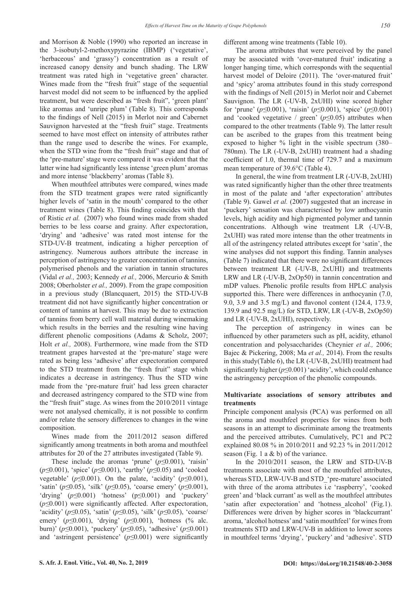and Morrison & Noble (1990) who reported an increase in the 3-isobutyl-2-methoxypyrazine (IBMP) ('vegetative', 'herbaceous' and 'grassy') concentration as a result of increased canopy density and bunch shading. The LRW treatment was rated high in 'vegetative green' character. Wines made from the "fresh fruit" stage of the sequential harvest model did not seem to be influenced by the applied treatment, but were described as "fresh fruit", 'green plant' like aromas and 'unripe plum' (Table 8). This corresponds to the findings of Nell (2015) in Merlot noir and Cabernet Sauvignon harvested at the "fresh fruit" stage. Treatments seemed to have most effect on intensity of attributes rather than the range used to describe the wines. For example, when the STD wine from the "fresh fruit" stage and that of the 'pre-mature' stage were compared it was evident that the latter wine had significantly less intense 'green plum' aromas and more intense 'blackberry' aromas (Table 8).

When mouthfeel attributes were compared, wines made from the STD treatment grapes were rated significantly higher levels of 'satin in the mouth' compared to the other treatment wines (Table 8). This finding coincides with that of Ristic *et al.* (2007) who found wines made from shaded berries to be less coarse and grainy. After expectoration, 'drying' and 'adhesive' was rated most intense for the STD-UV-B treatment, indicating a higher perception of astringency. Numerous authors attribute the increase in perception of astringency to greater concentration of tannins, polymerised phenols and the variation in tannin structures (Vidal *et al.,* 2003; Kennedy *et al.,* 2006, Mercurio & Smith 2008; Oberholster *et al.,* 2009). From the grape composition in a previous study (Blancquaert, 2015) the STD-UV-B treatment did not have significantly higher concentration or content of tannins at harvest. This may be due to extraction of tannins from berry cell wall material during winemaking which results in the berries and the resulting wine having different phenolic compositions (Adams & Scholz, 2007; Holt *et al.,* 2008). Furthermore, wine made from the STD treatment grapes harvested at the 'pre-mature' stage were rated as being less 'adhesive' after expectoration compared to the STD treatment from the "fresh fruit" stage which indicates a decrease in astringency. Thus the STD wine made from the 'pre-mature fruit' had less green character and decreased astringency compared to the STD wine from the "fresh fruit" stage. As wines from the 2010/2011 vintage were not analysed chemically, it is not possible to confirm and/or relate the sensory differences to changes in the wine composition.

Wines made from the 2011/2012 season differed significantly among treatments in both aroma and mouthfeel attributes for 20 of the 27 attributes investigated (Table 9).

These include the aromas 'prune' (*p≤*0.001), 'raisin' (*p≤*0.001), 'spice' (*p≤*0.001), 'earthy' (*p≤*0.05) and 'cooked vegetable' (*p≤*0.001). On the palate, 'acidity' (*p≤*0.001), 'satin' (*p≤*0.05), 'silk' (*p≤*0.05), 'coarse emery' (*p≤*0.001), 'drying' (*p≤*0.001) 'hotness' (p≤0.001) and 'puckery' (*p≤*0.001) were significantly affected. After expectoration, 'acidity' (*p≤*0.05), 'satin' (*p≤*0.05), 'silk' (*p≤*0.05), 'coarse/ emery' (*p≤*0.001), 'drying' (*p≤*0.001), 'hotness (% alc. burn)' (*p≤*0.001), 'puckery' (*p≤*0.05), 'adhesive' (*p≤*0.001) and 'astringent persistence' (*p≤*0.001) were significantly

different among wine treatments (Table 10).

The aroma attributes that were perceived by the panel may be associated with 'over-matured fruit' indicating a longer hanging time, which corresponds with the sequential harvest model of Deloire (2011). The 'over-matured fruit' and 'spicy' aroma attributes found in this study correspond with the findings of Nell (2015) in Merlot noir and Cabernet Sauvignon. The LR (-UV-B, 2xUHI) wine scored higher for 'prune' (*p≤*0.001), 'raisin' (*p≤*0.001), 'spice' (*p*≤0.001) and 'cooked vegetative / green' (*p*≤0.05) attributes when compared to the other treatments (Table 9). The latter result can be ascribed to the grapes from this treatment being exposed to higher % light in the visible spectrum (380– 780nm). The LR (-UV-B, 2xUHI) treatment had a shading coefficient of 1.0, thermal time of 729.7 and a maximum mean temperature of 39.6°C (Table 4).

In general, the wine from treatment LR (-UV-B, 2xUHI) was rated significantly higher than the other three treatments in most of the palate and 'after expectoration' attributes (Table 9). Gawel *et al.* (2007) suggested that an increase in 'puckery' sensation was characterised by low anthocyanin levels, high acidity and high pigmented polymer and tannin concentrations. Although wine treatment LR (-UV-B, 2xUHI) was rated more intense than the other treatments in all of the astringency related attributes except for 'satin', the wine analyses did not support this finding. Tannin analyses (Table 7) indicated that there were no significant differences between treatment LR (-UV-B, 2xUHI) and treatments LRW and LR (-UV-B, 2xOp50) in tannin concentration and mDP values. Phenolic profile results from HPLC analysis supported this. There were differences in anthocyanin  $(7.0, 1)$ 9.0, 3.9 and 3.5 mg/L) and flavonol content (124.4, 173.9, 139.9 and 92.5 mg/L) for STD, LRW, LR (-UV-B, 2xOp50) and LR (-UV-B, 2xUHI), respectively.

The perception of astringency in wines can be influenced by other parameters such as pH, acidity, ethanol concentration and polysaccharides (Cheynier *et al.,* 2006; Bajec & Pickering, 2008; Ma *et al.,* 2014). From the results in this study(Table 6), the LR (-UV-B, 2xUHI) treatment had significantly higher (*p*≤0.001) 'acidity', which could enhance the astringency perception of the phenolic compounds.

## **Multivariate associations of sensory attributes and treatments**

Principle component analysis (PCA) was performed on all the aroma and mouthfeel properties for wines from both seasons in an attempt to discriminate among the treatments and the perceived attributes. Cumulatively, PC1 and PC2 explained 80.08 % in 2010/2011 and 92.23 % in 2011/2012 season (Fig. 1 a  $\&$  b) of the variance.

In the 2010/2011 season, the LRW and STD-UV-B treatments associate with most of the mouthfeel attributes, whereas STD, LRW-UV-B and STD 'pre-mature' associated with three of the aroma attributes i.e 'raspberry', 'cooked green' and 'black currant' as well as the mouthfeel attributes 'satin after expectoration' and 'hotness\_alcohol' (Fig.1). Differences were driven by higher scores in 'blackcurrant' aroma, 'alcohol hotness' and 'satin mouthfeel' for wines from treatments STD and LRW-UV-B in addition to lower scores in mouthfeel terms 'drying', 'puckery' and 'adhesive'. STD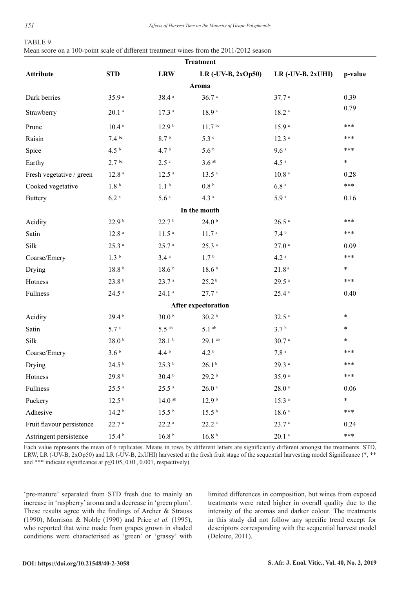|  | Mean score on a 100-point scale of different treatment wines from the 2011/2012 season |  |  |  |
|--|----------------------------------------------------------------------------------------|--|--|--|
|--|----------------------------------------------------------------------------------------|--|--|--|

| <b>Treatment</b>          |                     |                     |                            |                     |         |  |  |
|---------------------------|---------------------|---------------------|----------------------------|---------------------|---------|--|--|
| <b>Attribute</b>          | <b>STD</b>          | <b>LRW</b>          | LR $(-UV-B, 2xOp50)$       | $LR$ (-UV-B, 2xUHI) | p-value |  |  |
|                           |                     |                     | Aroma                      |                     |         |  |  |
| Dark berries              | 35.9 <sup>a</sup>   | 38.4 <sup>a</sup>   | 36.7 <sup>a</sup>          | 37.7 <sup>a</sup>   | 0.39    |  |  |
| Strawberry                | $20.1$ <sup>a</sup> | 17.3 <sup>a</sup>   | 18.9 <sup>a</sup>          | 18.2 <sup>a</sup>   | 0.79    |  |  |
| Prune                     | $10.4 \text{°}$     | 12.9 <sup>b</sup>   | 11.7 <sup>bc</sup>         | 15.9 <sup>a</sup>   | ***     |  |  |
| Raisin                    | 7.4 <sup>bc</sup>   | 8.7 <sup>b</sup>    | 5.3 c                      | 12.3 <sup>a</sup>   | ***     |  |  |
| Spice                     | 4.5 <sup>b</sup>    | 4.7 <sup>b</sup>    | 5.6 <sup>b</sup>           | 9.6a                | ***     |  |  |
| Earthy                    | 2.7 <sup>bc</sup>   | $2.5$ $\degree$     | $3.6$ ab                   | 4.5 <sup>a</sup>    | $\ast$  |  |  |
| Fresh vegetative / green  | 12.8 <sup>a</sup>   | 12.5 <sup>a</sup>   | 13.5 <sup>a</sup>          | $10.8$ <sup>a</sup> | 0.28    |  |  |
| Cooked vegetative         | 1.8 <sup>b</sup>    | 1.1 <sup>b</sup>    | 0.8 <sup>b</sup>           | 6.8 <sup>a</sup>    | ***     |  |  |
| <b>Buttery</b>            | $6.2~^\mathrm{a}$   | 5.6 <sup>a</sup>    | 4.3 <sup>a</sup>           | 5.9 <sup>a</sup>    | 0.16    |  |  |
|                           |                     |                     | In the mouth               |                     |         |  |  |
| Acidity                   | 22.9 <sup>b</sup>   | 22.7 <sup>b</sup>   | 24.0 <sup>b</sup>          | $26.5$ $^{\rm a}$   | ***     |  |  |
| Satin                     | $12.8$ $^{\circ}$   | 11.5 <sup>a</sup>   | 11.7 <sup>a</sup>          | 7.4 <sup>b</sup>    | ***     |  |  |
| Silk                      | 25.3 <sup>a</sup>   | 25.7 <sup>a</sup>   | $25.3$ <sup>a</sup>        | $27.0$ <sup>a</sup> | 0.09    |  |  |
| Coarse/Emery              | 1.3 <sup>b</sup>    | 3.4 <sup>a</sup>    | 1.7 <sup>b</sup>           | 4.2 <sup>a</sup>    | ***     |  |  |
| Drying                    | 18.8 <sup>b</sup>   | 18.6 <sup>b</sup>   | 18.6 <sup>b</sup>          | $21.8a$             | $\ast$  |  |  |
| Hotness                   | 23.8 <sup>b</sup>   | 23.7 <sup>a</sup>   | 25.2 <sup>b</sup>          | 29.5 <sup>a</sup>   | ***     |  |  |
| Fullness                  | $24.5$ <sup>a</sup> | $24.1$ <sup>a</sup> | $27.7$ <sup>a</sup>        | $25.4$ <sup>a</sup> | 0.40    |  |  |
|                           |                     |                     | <b>After expectoration</b> |                     |         |  |  |
| Acidity                   | 29.4 <sup>b</sup>   | 30.0 <sup>b</sup>   | 30.2 <sup>b</sup>          | $32.5$ <sup>a</sup> | $\ast$  |  |  |
| Satin                     | 5.7 <sup>a</sup>    | $5.5$ <sup>ab</sup> | $5.1$ ab                   | 3.7 <sup>b</sup>    | $\ast$  |  |  |
| Silk                      | 28.0 <sup>b</sup>   | 28.1 <sup>b</sup>   | $29.1$ ab                  | 30.7 <sup>a</sup>   | $\ast$  |  |  |
| Coarse/Emery              | 3.6 <sup>b</sup>    | 4.4 <sup>b</sup>    | 4.2 <sup>b</sup>           | $7.8\,$ $^{\rm a}$  | ***     |  |  |
| Drying                    | 24.5 <sup>b</sup>   | 25.3 <sup>b</sup>   | 26.1 <sup>b</sup>          | 29.3 <sup>a</sup>   | ***     |  |  |
| Hotness                   | 29.8 <sup>b</sup>   | 30.4 <sup>b</sup>   | 29.2 <sup>b</sup>          | 35.9 <sup>a</sup>   | ***     |  |  |
| Fullness                  | 25.5 <sup>a</sup>   | $25.5$ <sup>a</sup> | $26.0$ $^{\rm a}$          | $28.0$ $^{\rm a}$   | 0.06    |  |  |
| Puckery                   | 12.5 <sup>b</sup>   | $14.0\ ^{\rm ab}$   | 12.9 <sup>b</sup>          | $15.3$ <sup>a</sup> | $\ast$  |  |  |
| Adhesive                  | 14.2 <sup>b</sup>   | 15.5 <sup>b</sup>   | 15.5 <sup>b</sup>          | 18.6 <sup>a</sup>   | ***     |  |  |
| Fruit flavour persistence | 22.7 <sup>a</sup>   | $22.2$ <sup>a</sup> | $22.2\,$ $^{\rm a}$        | 23.7 <sup>a</sup>   | 0.24    |  |  |
| Astringent persistence    | 15.4 <sup>b</sup>   | $16.8$ $^{\rm b}$   | 16.8 <sup>b</sup>          | $20.1$ $^{\rm a}$   | ***     |  |  |

Each value represents the mean of 6 replicates. Means in rows by different letters are significantly different amongst the treatments. STD, LRW, LR (-UV-B, 2xOp50) and LR (-UV-B, 2xUHI) harvested at the fresh fruit stage of the sequential harvesting model Significance (\*, \*\* and \*\*\* indicate significance at p≤0.05, 0.01, 0.001, respectively).

'pre-mature' separated from STD fresh due to mainly an increase in 'raspberry' aroma and a decrease in 'green plum'. These results agree with the findings of Archer & Strauss (1990), Morrison & Noble (1990) and Price *et al.* (1995), who reported that wine made from grapes grown in shaded conditions were characterised as 'green' or 'grassy' with limited differences in composition, but wines from exposed treatments were rated higher in overall quality due to the intensity of the aromas and darker colour. The treatments in this study did not follow any specific trend except for descriptors corresponding with the sequential harvest model (Deloire, 2011).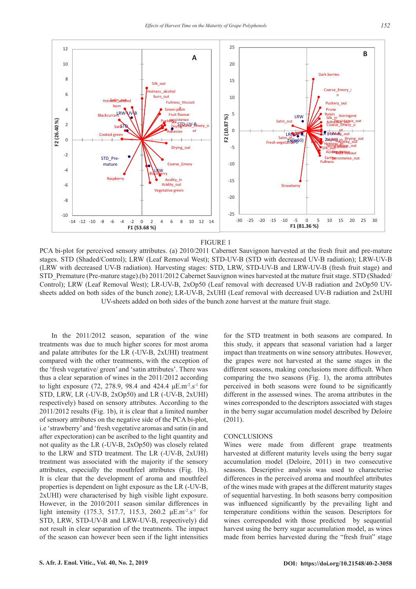

#### FIGURE 1

PCA bi-plot for perceived sensory attributes. (a) 2010/2011 Cabernet Sauvignon harvested at the fresh fruit and pre-mature stages. STD (Shaded/Control); LRW (Leaf Removal West); STD-UV-B (STD with decreased UV-B radiation); LRW-UV-B (LRW with decreased UV-B radiation). Harvesting stages: STD, LRW, STD-UV-B and LRW-UV-B (fresh fruit stage) and STD\_Premature (Pre-mature stage).(b) 2011/2012 Cabernet Sauvignon wines harvested at the mature fruit stage. STD (Shaded/ Control); LRW (Leaf Removal West); LR-UV-B, 2xOp50 (Leaf removal with decreased UV-B radiation and 2xOp50 UVsheets added on both sides of the bunch zone); LR-UV-B, 2xUHI (Leaf removal with decreased UV-B radiation and 2xUHI UV-sheets added on both sides of the bunch zone harvest at the mature fruit stage.

In the 2011/2012 season, separation of the wine treatments was due to much higher scores for most aroma and palate attributes for the LR (-UV-B, 2xUHI) treatment compared with the other treatments, with the exception of the 'fresh vegetative/ green' and 'satin attributes'. There was thus a clear separation of wines in the 2011/2012 according to light exposure (72, 278.9, 98.4 and 424.4  $\mu$ E.m<sup>-2</sup>.s<sup>-1</sup> for STD, LRW, LR (-UV-B, 2xOp50) and LR (-UV-B, 2xUHI) respectively) based on sensory attributes. According to the 2011/2012 results (Fig. 1b), it is clear that a limited number of sensory attributes on the negative side of the PCA bi-plot, i.e 'strawberry' and 'fresh vegetative aromas and satin (in and after expectoration) can be ascribed to the light quantity and not quality as the LR (-UV-B, 2xOp50) was closely related to the LRW and STD treatment. The LR (-UV-B, 2xUHI) treatment was associated with the majority if the sensory attributes, especially the mouthfeel attributes (Fig. 1b). It is clear that the development of aroma and mouthfeel properties is dependent on light exposure as the LR (-UV-B, 2xUHI) were characterised by high visible light exposure. However, in the 2010/2011 season similar differences in light intensity (175.3, 517.7, 115.3, 260.2  $\mu$ E.m<sup>-2</sup>.s<sup>-1</sup> for STD, LRW, STD-UV-B and LRW-UV-B, respectively) did not result in clear separation of the treatments. The impact of the season can however been seen if the light intensities

for the STD treatment in both seasons are compared. In this study, it appears that seasonal variation had a larger impact than treatments on wine sensory attributes. However, the grapes were not harvested at the same stages in the different seasons, making conclusions more difficult. When comparing the two seasons (Fig. 1), the aroma attributes perceived in both seasons were found to be significantly different in the assessed wines. The aroma attributes in the wines corresponded to the descriptors associated with stages in the berry sugar accumulation model described by Deloire (2011).

#### **CONCLUSIONS**

Wines were made from different grape treatments harvested at different maturity levels using the berry sugar accumulation model (Deloire, 2011) in two consecutive seasons. Descriptive analysis was used to characterise differences in the perceived aroma and mouthfeel attributes of the wines made with grapes at the different maturity stages of sequential harvesting. In both seasons berry composition was influenced significantly by the prevailing light and temperature conditions within the season. Descriptors for wines corresponded with those predicted by sequential harvest using the berry sugar accumulation model, as wines made from berries harvested during the "fresh fruit" stage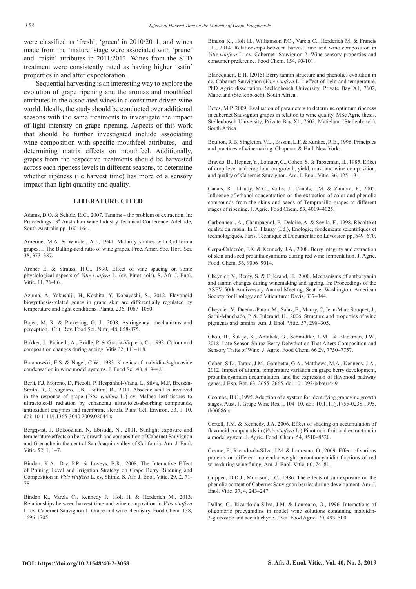were classified as 'fresh', 'green' in 2010/2011, and wines made from the 'mature' stage were associated with 'prune' and 'raisin' attributes in 2011/2012. Wines from the STD treatment were consistently rated as having higher 'satin' properties in and after expectoration.

Sequential harvesting is an interesting way to explore the evolution of grape ripening and the aromas and mouthfeel attributes in the associated wines in a consumer-driven wine world. Ideally, the study should be conducted over additional seasons with the same treatments to investigate the impact of light intensity on grape ripening. Aspects of this work that should be further investigated include associating wine composition with specific mouthfeel attributes, and determining matrix effects on mouthfeel. Additionally, grapes from the respective treatments should be harvested across each ripeness levels in different seasons, to determine whether ripeness (i.e harvest time) has more of a sensory impact than light quantity and quality.

#### **LITERATURE CITED**

Adams, D.O. & Scholz, R.C., 2007. Tannins – the problem of extraction. In: Proceedings 13<sup>th</sup> Australian Wine Industry Technical Conference, Adelaide, South Australia pp. 160–164.

Amerine, M.A. & Winkler, A.J., 1941. Maturity studies with California grapes. I. The Balling-acid ratio of wine grapes. Proc. Amer. Soc. Hort. Sci. 38, 373–387.

Archer E. & Strauss, H.C., 1990. Effect of vine spacing on some physiological aspects of *Vitis vinifera* L. (cv. Pinot noir). S. Afr. J. Enol. Vitic. 11, 76–86.

Azuma, A, Yakushiji, H, Koshita, Y, Kobayashi, S., 2012. Flavonoid biosynthesis-related genes in grape skin are differentially regulated by temperature and light conditions. Planta, 236, 1067–1080.

Bajec, M. R. & Pickering, G. J., 2008. Astringency: mechanisms and perception. Crit. Rev. Food Sci. Nutr, 48, 858-875.

Bakker, J., Picinelli, A., Bridle, P. & Gracia-Viquera, C., 1993. Colour and composition changes during ageing. Vitis 32, 111–118.

Baranowski, E.S. & Nagel, C.W., 1983. Kinetics of malvidin-3-glucoside condensation in wine model systems. J. Food Sci. 48, 419–421.

Berli, F.J, Moreno, D, Piccoli, P, Hespanhol-Viana, L, Silva, M.F, Bressan-Smith, R, Cavagnaro, J.B, Bottini, R., 2011. Abscisic acid is involved in the response of grape (*Vitis vinifera* L.) cv. Malbec leaf tissues to ultraviolet-B radiation by enhancing ultraviolet-absorbing compounds, antioxidant enzymes and membrane sterols. Plant Cell Environ. 33, 1–10. doi: 10.1111/j.1365-3040.2009.02044.x

Bergqvist, J, Dokoozlian, N, Ebisuda, N., 2001. Sunlight exposure and temperature effects on berry growth and composition of Cabernet Sauvignon and Grenache in the central San Joaquin valley of California. Am. J. Enol. Vitic. 52, 1, 1–7.

Bindon, K.A., Dry, P.R. & Loveys, B.R., 2008. The Interactive Effect of Pruning Level and Irrigation Strategy on Grape Berry Ripening and Composition in *Vitis vinifera* L. cv. Shiraz. S. Afr. J. Enol. Vitic. 29, 2, 71- 78.

Bindon K., Varela C., Kennedy J., Holt H. & Herderich M., 2013. Relationships between harvest time and wine composition in *Vitis vinifera*  L. cv. Cabernet Sauvignon 1. Grape and wine chemistry. Food Chem. 138, 1696-1705.

Bindon K., Holt H., Williamson P.O., Varela C., Herderich M. & Francis I.L., 2014. Relationships between harvest time and wine composition in *Vitis vinifera* L. cv. Cabernet- Sauvignon 2. Wine sensory properties and consumer preference. Food Chem. 154, 90-101.

Blancquaert, E.H. (2015) Berry tannin structure and phenolics evolution in cv. Cabernet Sauvignon (*Vitis vinifera* L.): effect of light and temperature. PhD Agric dissertation, Stellenbosch University, Private Bag X1, 7602, Matieland (Stellenbosch), South Africa.

Botes, M.P. 2009. Evaluation of parameters to determine optimum ripeness in cabernet Sauvignon grapes in relation to wine quality. MSc Agric thesis. Stellenbosch University, Private Bag X1, 7602, Matieland (Stellenbosch), South Africa.

Boulton, R.B, Singleton, V.L., Bisson, L.F. & Kunkee, R.E., 1996. Principles and practices of winemaking. Chapman & Hall, New York.

Bravdo, B., Hepner, Y., Loinger, C., Cohen, S. & Tabacman, H., 1985. Effect of crop level and crop load on growth, yield, must and wine composition, and quality of Cabernet Sauvignon. Am. J. Enol. Vitic. 36, 125–131.

Canals, R., Llaudy, M.C., Vallis, J., Canals, J.M. & Zamora, F., 2005. Influence of ethanol concentration on the extraction of color and phenolic compounds from the skins and seeds of Tempranillo grapes at different stages of ripening. J. Agric. Food Chem. 53, 4019–4025.

Carbonneau, A., Champagnol, F., Deloire, A. & Sevila, F., 1998. Récolte et qualité du raisin. In C. Flanzy (Ed.), Enologie, fondements scientifiques et technologiques, Paris, Technique et Documentation Lavoisier. pp. 649–670.

Cerpa-Calderón, F.K. & Kennedy, J.A., 2008. Berry integrity and extraction of skin and seed proanthocyanidins during red wine fermentation. J. Agric. Food. Chem. 56, 9006–9014.

Cheynier, V., Remy, S. & Fulcrand, H., 2000. Mechanisms of anthocyanin and tannin changes during winemaking and ageing. In: Proceedings of the ASEV 50th Anniversary Annual Meeting, Seattle, Washington. American Society for Enology and Viticulture: Davis, 337–344.

Cheynier, V., Dueñas-Paton, M., Salas, E., Maury, C, Jean-Marc Souquet, J., Sarni-Manchado, P. & Fulcrand, H., 2006. Structure and properties of wine pigments and tannins. Am. J. Enol. Vitic. 57, 298–305.

Chou, H., Šuklje, K., Antalick, G., Schmidtke, L.M. & Blackman, J.W., 2018. Late-Season Shiraz Berry Dehydration That Alters Composition and Sensory Traits of Wine. J. Agric. Food Chem. 66 29, 7750–7757.

Cohen, S.D., Tarara, J.M., Gambetta, G.A., Matthews, M.A., Kennedy, J.A., 2012. Impact of diurnal temperature variation on grape berry development, proanthocyanidin accumulation, and the expression of flavonoid pathway genes. J Exp. Bot. 63, 2655–2665. doi:10.1093/jxb/err449

Coombe, B.G.,1995. Adoption of a system for identifying grapevine growth stages. Aust. J. Grape Wine Res*.*1, 104–10. doi: 10.1111/j.1755-0238.1995. tb00086.x

Cortell, J.M. & Kennedy, J.A. 2006. Effect of shading on accumulation of flavonoid compounds in (*Vitis vinifera* L.) Pinot noir fruit and extraction in a model system. J. Agric. Food. Chem. 54, 8510–8520.

Cosme, F., Ricardo-da-Silva, J.M. & Laureano, O., 2009. Effect of various proteins on different molecular weight proanthocyanidin fractions of red wine during wine fining. Am. J. Enol. Vitic. 60, 74–81.

Crippen, D.D.J., Morrison, J.C., 1986. The effects of sun exposure on the phenolic content of Cabernet Sauvignon berries during development. Am. J. Enol. Vitic. 37, 4, 243–247.

Dallas, C., Ricardo-da-Silva, J.M. & Laureano, O., 1996. Interactions of oligomeric procyanidins in model wine solutions containing malvidin-3-glucoside and acetaldehyde. J.Sci. Food Agric. 70, 493–500.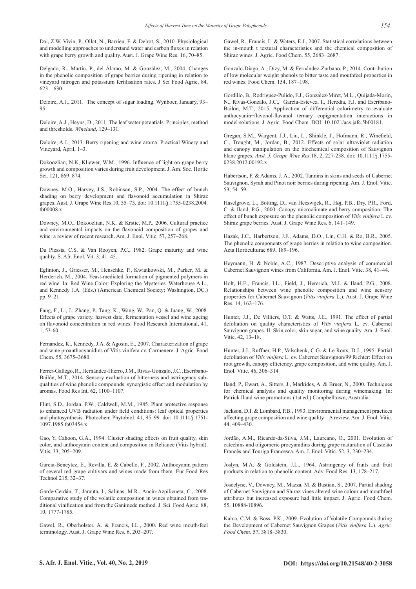Dai, Z.W, Vivin, P., Ollat, N., Barrieu, F. & Delrot, S., 2010. Physiological and modelling approaches to understand water and carbon fluxes in relation with grape berry growth and quality. Aust. J. Grape Wine Res. 16, 70–85.

Delgado, R., Martín, P., del Álamo, M. & González, M., 2004. Changes in the phenolic composition of grape berries during ripening in relation to vineyard nitrogen and potassium fertilisation rates. J Sci Food Agric, 84,  $623 - 630$ 

Deloire, A.J., 2011. The concept of sugar loading. Wynboer, January, 93– 95.

Deloire, A.J., Heyns, D., 2011. The leaf water potentials: Principles, method and thresholds. *Wineland*, 129–131.

Deloire, A.J., 2013. Berry ripening and wine aroma. Practical Winery and Vineyard, April, 1–3.

Dokoozlian, N.K, Kliewer, W.M., 1996. Influence of light on grape berry growth and composition varies during fruit development. J. Am. Soc. Hortic Sci. 121, 869–874.

Downey, M.O., Harvey, J.S., Robinson, S.P., 2004. The effect of bunch shading on berry development and flavonoid accumulation in Shiraz grapes. Aust. J. Grape Wine Res.10, 55–73. doi: 10.1111/j.1755-0238.2004. tb00008.x

Downey, M.O., Dokoozlian, N.K. & Krstic, M.P., 2006. Cultural practice and environmental impacts on the flavonoid composition of grapes and wine: a review of recent research. Am. J. Enol. Vitic. 57, 257–268.

Du Plessis, C.S. & Van Rooyen, P.C., 1982. Grape maturity and wine quality. S. Afr. Enol. Vit. 3, 41–45.

Eglinton, J., Griesser, M., Henschke, P., Kwiatkowski, M., Parker, M. & Herderich, M., 2004. Yeast-mediated formation of pigmented polymers in red wine. In: Red Wine Color: Exploring the Mysteries. Waterhouse A.L., and Kennedy J.A. (Eds.) (American Chemical Society: Washington, DC.) pp. 9–21.

Fang, F., Li, J., Zhang, P., Tang, K., Wang, W., Pan, Q. & Juang, W., 2008. Effects of grape variety, harvest date, fermentation vessel and wine ageing on flavonoid concentration in red wines. Food Research International, 41, 1, 53-60.

Fernández, K., Kennedy, J.A. & Agosin, E., 2007. Characterization of grape and wine proanthocyanidins of Vitis vinifera cv. Carmenere. J. Agric. Food Chem. 55, 3675–3680.

Ferrer-Gallego, R., Hernández-Hierro, J.M., Rivas-Gonzalo, J.C., Escribano-Bailón, M.T., 2014. Sensory evaluation of bitterness and astringency subqualities of wine phenolic compounds: synergistic effect and modulation by aromas. Food Res Int, 62, 1100–1107.

Flint, S.D., Jordan, P.W., Caldwell, M.M., 1985. Plant protective response to enhanced UVB radiation under field conditions: leaf optical properties and photosynthesis. Photochem Phytobiol*.* 41, 95–99. doi: 10.1111/j.1751- 1097.1985.tb03454.x

Gao, Y, Cahoon, G.A., 1994. Cluster shading effects on fruit quality, skin color, and anthocyanin content and composition in Reliance (Vitis hybrid). Vitis, 33, 205–209.

Garcia-Beneytez, E., Revilla, E. & Cabello, F., 2002. Anthocyanin pattern of several red grape cultivars and wines made from them. Eur Food Res Technol 215, 32–37.

Garde‐Cerdán, T., Jarauta, I., Salinas, M.R., Ancín‐Azpilicueta, C., 2008. Comparative study of the volatile composition in wines obtained from traditional vinification and from the Ganimede method. J. Sci. Food Agric. 88, 10, 1777-1785.

Gawel, R., Oberholster, A. & Francis, I.L., 2000. Red wine mouth-feel terminology. Aust. J. Grape Wine Res. 6, 203–207.

Gawel, R., Francis, L. & Waters, E.J., 2007. Statistical correlations between the in-mouth t textural characteristics and the chemical composition of Shiraz wines. J. Agric. Food Chem. 55, 2683−2687.

Gonzalo-Diago, A., Dizy, M. & Fernández-Zurbano, P., 2014. Contribution of low molecular weight phenols to bitter taste and mouthfeel properties in red wines. Food Chem. 154, 187–198.

Gordillo, B., Rodríguez-Pulido, F.J., González-Miret, M.L., Quijada-Morín, N., Rivas-Gonzalo, J.C., García-Estévez, I., Heredia, F.J. and Escribano-Bailón, M.T., 2015. Application of differential colorimetry to evaluate anthocyanin−flavonol-flavanol ternary copigmentation interactions in model solutions. J. Agric. Food Chem. DOI: 10.1021/acs.jafc.5b00181.

Gregan, S.M., Wargent, J.J., Liu, L., Shinkle, J., Hofmann, R., Winefield, C., Trought, M., Jordan, B., 2012. Effects of solar ultraviolet radiation and canopy manipulation on the biochemical composition of Sauvignon blanc grapes. *Aust. J. Grape Wine Res.*18, 2, 227-238. doi: 10.1111/j.1755- 0238.2012.00192.x

Habertson, F. & Adams, J. A., 2002. Tannins in skins and seeds of Cabernet Sauvignon, Syrah and Pinot noir berries during ripening. Am. J. Enol. Vitic. 53, 54–59.

Haselgrove, L., Botting, D., van Heeswijck, R., Høj, P.B., Dry, P.R., Ford, C. & Iland, P.G., 2000. Canopy microclimate and berry composition: The effect of bunch exposure on the phenolic composition of *Vitis vinifera* L cv. Shiraz grape berries. Aust. J. Grape Wine Res. 6, 141–149.

Hazak, J.C., Harbertson, J.F., Adams, D.O., Lin, C.H. & Ro, B.R., 2005. The phenolic components of grape berries in relation to wine composition. Acta Horticulturae 689, 189–196.

Heymann, H. & Noble, A.C., 1987. Descriptive analysis of commercial Cabernet Sauvignon wines from California. Am. J. Enol. Vitic. 38, 41–44.

Holt, H.E., Francis, I.L., Field, J., Hererich, M.J. & Iland, P.G., 2008. Relationships between wine phenolic composition and wine sensory properties for Cabernet Sauvignon (*Vitis vinifera* L.). Aust. J. Grape Wine Res. 14, 162–176.

Hunter, J.J., De Villiers, O.T. & Watts, J.E., 1991. The effect of partial defoliation on quality characteristics of *Vitis vinifera* L. cv. Cabernet Sauvignon grapes. II. Skin color, skin sugar, and wine quality. Am. J. Enol. Vitic. 42, 13–18.

Hunter, J.J., Ruffner, H.P., Volschenk, C.G. & Le Roux, D.J., 1995. Partial defoliation of *Vitis vinifera* L. cv. Cabernet Sauvignon/99 Richter: Effect on root growth, canopy efficiency, grape composition, and wine quality. Am. J. Enol. Vitic. 46, 306–314

Iland, P., Ewart, A., Sitters, J., Markides, A. & Bruer, N., 2000. Techniques for chemical analysis and quality monitoring during winemaking. In: Patrick Iland wine promotions (1st ed.) Campbelltown, Australia.

Jackson, D.I. & Lombard, P.B., 1993. Environmental management practices affecting grape composition and wine quality – A review. Am. J. Enol. Vitic. 44, 409–430.

Jordão, A.M., Ricardo-da-Silva, J.M., Laureano, O., 2001. Evolution of catechins and oligomeric procyanidins during grape maturation of Castelão Francẽs and Touriga Francesca. Am. J. Enol. Vitic. 52, 3, 230–234.

Joslyn, M.A. & Goldstein, J.L., 1964. Astringency of fruits and fruit products in relation to phenolic content. Adv. Food Res. 13, 178–217.

Joscelyne, V., Downey, M., Mazza, M. & Bastian, S., 2007. Partial shading of Cabernet Sauvignon and Shiraz vines altered wine colour and mouthfeel attributes but increased exposure had little impact. J. Agric. Food Chem. 55, 10888-10896.

Kalua, C.M. & Boss, P.K., 2009. Evolution of Volatile Compounds during the Development of Cabernet Sauvignon Grapes (*Vitis vinifera* L.). *Agric. Food Chem.* 57, 3818–3830.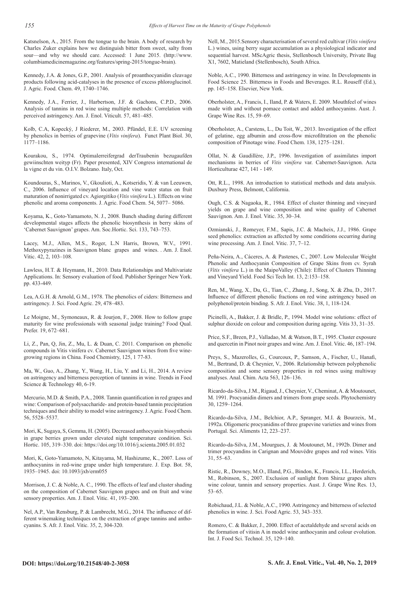Katsnelson, A., 2015. From the tongue to the brain. A body of research by Charles Zuker explains how we distinguish bitter from sweet, salty from sour—and why we should care. Accessed: 1 June 2015. (http://www. columbiamedicinemagazine.org/features/spring-2015/tongue-brain).

Kennedy, J.A. & Jones, G.P., 2001. Analysis of proanthocyanidin cleavage products following acid-catalyses in the presence of excess phloroglucinol. J. Agric. Food. Chem. 49, 1740–1746.

Kennedy, J.A., Ferrier, J., Harbertson, J.F. & Gachons, C.P.D., 2006. Analysis of tannins in red wine using multiple methods: Correlation with perceived astringency. Am. J. Enol. Viticult. 57, 481–485.

Kolb, C.A, Kopecký, J Riederer, M., 2003. Pfündel, E.E. UV screening by phenolics in berries of grapevine (*Vitis vinifera*). Funct Plant Biol. 30, 1177–1186.

Kourakou, S., 1974. Optimalerreifergrad derTraubenin bezugaufden gewiinschten weityp (Fr). Paper presented, XIV Congress international de la vigne et du vin. O.I.V. Bolzano. Italy, Oct.

Koundouras, S., Marinos, V., Gkoulioti, A., Kotseridis, Y. & van Leeuwen, C., 2006. Influence of vineyard location and vine water status on fruit maturation of nonirrigated cv. Agiorgitiko (*Vitis vinifera* L.). Effects on wine phenolic and aroma components. J. Agric. Food Chem. 54, 5077– 5086.

Koyama, K., Goto-Yamamoto, N. J., 2008. Bunch shading during different developmental stages affects the phenolic biosynthesis in berry skins of 'Cabernet Sauvignon' grapes. Am. Soc.Hortic. Sci. 133, 743–753.

Lacey, M.J., Allen, M.S., Roger, L.N Harris, Brown, W.V., 1991. Methoxypyrazines in Sauvignon blanc grapes and wines. . Am. J. Enol. Vitic. 42, 2, 103–108.

Lawless, H.T. & Heymann, H., 2010. Data Relationships and Multivariate Applications. In: Sensory evaluation of food. Publisher Springer New York. pp. 433-449.

Lea, A.G.H. & Arnold, G.M., 1978. The phenolics of ciders: Bitterness and astringency. J. Sci. Food Agric. 29, 478–483.

Le Moigne, M., Symoneaux, R. & Jourjon, F., 2008. How to follow grape maturity for wine professionals with seasonal judge training? Food Qual. Prefer. 19, 672–681.

Li, Z., Pan, Q, Jin, Z., Mu, L. & Duan, C. 2011. Comparison on phenolic compounds in Vitis vinifera cv. Cabernet Sauvignon wines from five winegrowing regions in China. Food Chemistry, 125, 1 77-83.

Ma, W., Guo, A., Zhang, Y., Wang, H., Liu, Y. and Li, H., 2014. A review on astringency and bitterness perception of tannins in wine. Trends in Food Science & Technology 40, 6-19.

Mercurio, M.D. & Smith, P.A., 2008. Tannin quantification in red grapes and wine: Comparison of polysaccharide- and protein-based tannin precipitation techniques and their ability to model wine astringency. J. Agric. Food Chem. 56, 5528–5537.

Mori, K, Sugaya, S, Gemma, H. (2005). Decreased anthocyanin biosynthesis in grape berries grown under elevated night temperature condition. Sci. Hortic. 105, 319–330. doi: https://doi.org/10.1016/j.scienta.2005.01.032

Mori, K, Goto-Yamamoto, N, Kitayama, M, Hashizume, K., 2007. Loss of anthocyanins in red-wine grape under high temperature. J. Exp. Bot. 58, 1935–1945. doi: 10.1093/jxb/erm055

Morrison, J. C. & Noble, A. C., 1990. The effects of leaf and cluster shading on the composition of Cabernet Sauvignon grapes and on fruit and wine sensory properties. Am. J. Enol. Vitic. 41, 193–200.

Nel, A.P., Van Rensburg, P. & Lambrecht, M.G., 2014. The influence of different winemaking techniques on the extraction of grape tannins and anthocyanins. S. Afr. J. Enol. Vitic. 35, 2, 304-320.

Nell, M., 2015.Sensory characterisation of several red cultivar (*Vitis vinifera*  L.) wines, using berry sugar accumulation as a physiological indicator and sequential harvest. MScAgric thesis, Stellenbosch University, Private Bag X1, 7602, Matieland (Stellenbosch), South Africa.

Noble, A.C., 1990. Bitterness and astringency in wine. In Developments in Food Science 25. Bitterness in Foods and Beverages. R.L. Rouseff (Ed.), pp. 145–158. Elsevier, New York.

Oberholster, A., Francis, I., Iland, P. & Waters, E. 2009. Mouthfeel of wines made with and without pomace contact and added anthocyanins. Aust. J. Grape Wine Res. 15, 59–69.

Oberholster, A., Carstens, L., Du Toit, W., 2013. Investigation of the effect of gelatine, egg albumin and cross-flow microfiltration on the phenolic composition of Pinotage wine. Food Chem. 138, 1275–1281.

Ollat, N. & Gaudillère, J.P., 1996. Investigation of assimilates import mechanisms in berries of *Vitis vinifera* var. Cabernet-Sauvignon. Acta Horticulturae 427, 141 - 149.

Ott, R.L., 1998. An introduction to statistical methods and data analysis. Duxbury Press, Belmont, California.

Ough, C.S. & Nagaoka, R., 1984. Effect of cluster thinning and vineyard yields on grape and wine composition and wine quality of Cabernet Sauvignon. Am. J. Enol. Vitic. 35, 30–34.

Ozmianski, J., Romeyer, F.M., Sapis, J.C. & Macheix, J.J., 1986. Grape seed phenolics: extraction as affected by some conditions occurring during wine processing. Am. J. Enol. Vitic. 37, 7–12.

Peña-Neira, A., Cáceres, A. & Pastenes, C., 2007. Low Molecular Weight Phenolic and Anthocyanin Composition of Grape Skins from cv. Syrah (*Vitis vinifera* L.) in the MaipoValley (Chile): Effect of Clusters Thinning and Vineyard Yield. Food Sci Tech Int. 13, 2:153–158.

Ren, M., Wang, X., Du, G., Tian, C., Zhang, J., Song, X. & Zhu, D., 2017. Influence of different phenolic fractions on red wine astringency based on polyphenol/protein binding. S. Afr. J. Enol. Vitic. 38, 1, 118-124.

Picinelli, A., Bakker, J. & Bridle, P., 1994. Model wine solutions: effect of sulphur dioxide on colour and composition during ageing. Vitis 33, 31–35.

Price, S.F., Breen, P.J., Valladao, M. & Watson, B.T., 1995. Cluster exposure and quercetin in Pinot noir grapes and wine. Am. J. Enol. Vitic. 46, 187–194.

Preys, S., Mazerolles, G., Courcoux, P., Samson, A., Fischer, U., Hanafi, M., Bertrand, D. & Cheynier, V., 2006. Relationship between polyphenolic composition and some sensory properties in red wines using multiway analyses. Anal. Chim. Acta 563, 126–136.

Ricardo-da-Silva, J.M., Rigaud, J., Cheynier, V., Cheminat, A. & Moutounet, M. 1991. Procyanidin dimers and trimers from grape seeds. Phytochemistry 30, 1259–1264.

Ricardo-da-Silva, J.M., Belchior, A.P., Spranger, M.I. & Bourzeix, M., 1992a. Oligomeric procyanidins of three grapevine varieties and wines from Portugal. Sci. Aliments 12, 223–237.

Ricardo-da-Silva, J.M., Mourgues, J. & Moutounet, M., 1992b. Dimer and trimer procyandins in Carignan and Mouvédre grapes and red wines. Vitis 31, 55–63.

Ristic, R., Downey, M.O., Illand, P.G., Bindon, K., Francis, I.L., Herderich, M., Robinson, S., 2007. Exclusion of sunlight from Shiraz grapes alters wine colour, tannin and sensory properties. Aust. J. Grape Wine Res. 13, 53–65.

Robichaud, J.L. & Noble, A.C., 1990. Astringency and bitterness of selected phenolics in wine. J. Sci. Food Agric. 53, 343–353.

Romero, C. & Bakker, J., 2000. Effect of acetaldehyde and several acids on the formation of vitisin A in model wine anthocyanin and colour evolution. Int. J. Food Sci. Technol. 35, 129–140.